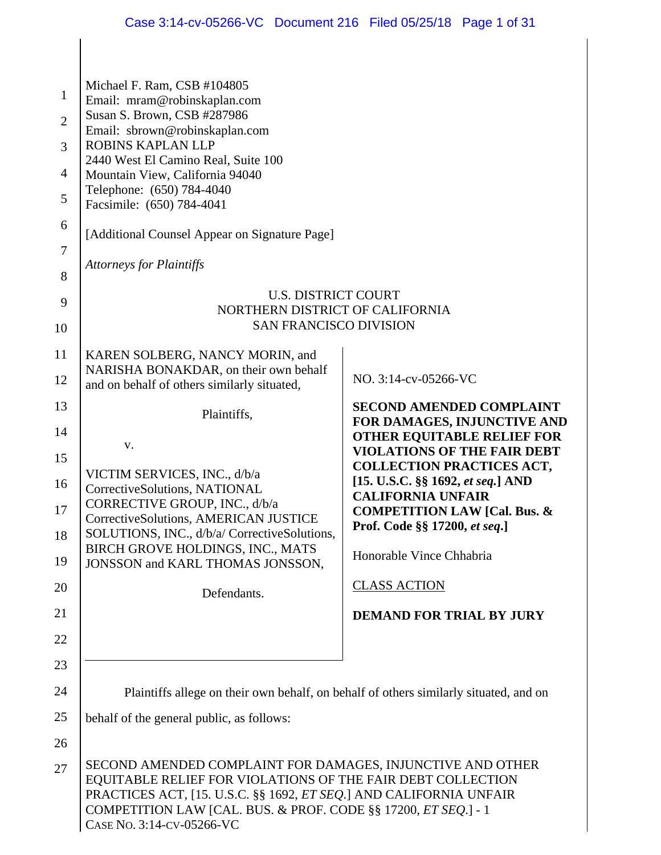|                                                              | Case 3:14-cv-05266-VC Document 216 Filed 05/25/18 Page 1 of 31                                                                                                                                                                                                                                                                                                                                          |                                                                                                                                            |  |
|--------------------------------------------------------------|---------------------------------------------------------------------------------------------------------------------------------------------------------------------------------------------------------------------------------------------------------------------------------------------------------------------------------------------------------------------------------------------------------|--------------------------------------------------------------------------------------------------------------------------------------------|--|
|                                                              |                                                                                                                                                                                                                                                                                                                                                                                                         |                                                                                                                                            |  |
| $\mathbf{1}$<br>$\overline{2}$<br>3<br>4<br>5<br>6<br>7<br>8 | Michael F. Ram, CSB #104805<br>Email: mram@robinskaplan.com<br>Susan S. Brown, CSB #287986<br>Email: sbrown@robinskaplan.com<br>ROBINS KAPLAN LLP<br>2440 West El Camino Real, Suite 100<br>Mountain View, California 94040<br>Telephone: (650) 784-4040<br>Facsimile: (650) 784-4041<br>[Additional Counsel Appear on Signature Page]<br><b>Attorneys for Plaintiffs</b><br><b>U.S. DISTRICT COURT</b> |                                                                                                                                            |  |
| 9<br>10                                                      | NORTHERN DISTRICT OF CALIFORNIA<br><b>SAN FRANCISCO DIVISION</b>                                                                                                                                                                                                                                                                                                                                        |                                                                                                                                            |  |
| 11                                                           | KAREN SOLBERG, NANCY MORIN, and                                                                                                                                                                                                                                                                                                                                                                         |                                                                                                                                            |  |
| 12                                                           | NARISHA BONAKDAR, on their own behalf<br>and on behalf of others similarly situated,                                                                                                                                                                                                                                                                                                                    | NO. 3:14-cv-05266-VC                                                                                                                       |  |
| 13                                                           | Plaintiffs,                                                                                                                                                                                                                                                                                                                                                                                             | <b>SECOND AMENDED COMPLAINT</b>                                                                                                            |  |
| 14<br>15                                                     | V.                                                                                                                                                                                                                                                                                                                                                                                                      | FOR DAMAGES, INJUNCTIVE AND<br><b>OTHER EQUITABLE RELIEF FOR</b><br><b>VIOLATIONS OF THE FAIR DEBT</b><br><b>COLLECTION PRACTICES ACT,</b> |  |
| 16<br>17                                                     | VICTIM SERVICES, INC., d/b/a<br>CorrectiveSolutions, NATIONAL<br>CORRECTIVE GROUP, INC., d/b/a                                                                                                                                                                                                                                                                                                          | [15. U.S.C. §§ 1692, et seq.] AND<br><b>CALIFORNIA UNFAIR</b><br><b>COMPETITION LAW [Cal. Bus. &amp;</b>                                   |  |
| 18                                                           | CorrectiveSolutions, AMERICAN JUSTICE<br>SOLUTIONS, INC., d/b/a/ CorrectiveSolutions,                                                                                                                                                                                                                                                                                                                   | Prof. Code §§ 17200, et seq.]                                                                                                              |  |
| 19                                                           | BIRCH GROVE HOLDINGS, INC., MATS<br>JONSSON and KARL THOMAS JONSSON,                                                                                                                                                                                                                                                                                                                                    | Honorable Vince Chhabria                                                                                                                   |  |
| 20                                                           | Defendants.                                                                                                                                                                                                                                                                                                                                                                                             | <b>CLASS ACTION</b>                                                                                                                        |  |
| 21                                                           |                                                                                                                                                                                                                                                                                                                                                                                                         | <b>DEMAND FOR TRIAL BY JURY</b>                                                                                                            |  |
| 22                                                           |                                                                                                                                                                                                                                                                                                                                                                                                         |                                                                                                                                            |  |
| 23                                                           |                                                                                                                                                                                                                                                                                                                                                                                                         |                                                                                                                                            |  |
| 24                                                           | Plaintiffs allege on their own behalf, on behalf of others similarly situated, and on                                                                                                                                                                                                                                                                                                                   |                                                                                                                                            |  |
| 25                                                           | behalf of the general public, as follows:                                                                                                                                                                                                                                                                                                                                                               |                                                                                                                                            |  |
| 26                                                           |                                                                                                                                                                                                                                                                                                                                                                                                         |                                                                                                                                            |  |
| 27                                                           | SECOND AMENDED COMPLAINT FOR DAMAGES, INJUNCTIVE AND OTHER<br>EQUITABLE RELIEF FOR VIOLATIONS OF THE FAIR DEBT COLLECTION<br>PRACTICES ACT, [15. U.S.C. §§ 1692, <i>ET SEQ</i> .] AND CALIFORNIA UNFAIR<br>COMPETITION LAW [CAL. BUS. & PROF. CODE §§ 17200, ET SEQ.] - 1                                                                                                                               |                                                                                                                                            |  |

COMPETITION LAW [CAL.]<br>CASE No. 3:14-CV-05266-VC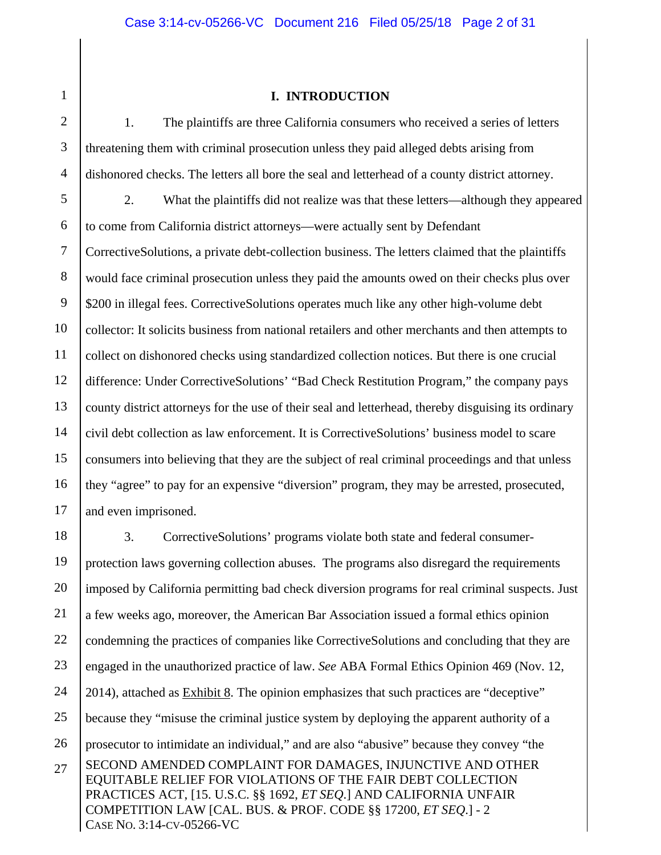1 2

#### **I. INTRODUCTION**

3 4 1. The plaintiffs are three California consumers who received a series of letters threatening them with criminal prosecution unless they paid alleged debts arising from dishonored checks. The letters all bore the seal and letterhead of a county district attorney.

5 6 7 8 9 10 11 12 13 14 15 16 17 2. What the plaintiffs did not realize was that these letters—although they appeared to come from California district attorneys—were actually sent by Defendant CorrectiveSolutions, a private debt-collection business. The letters claimed that the plaintiffs would face criminal prosecution unless they paid the amounts owed on their checks plus over \$200 in illegal fees. Corrective Solutions operates much like any other high-volume debt collector: It solicits business from national retailers and other merchants and then attempts to collect on dishonored checks using standardized collection notices. But there is one crucial difference: Under CorrectiveSolutions' "Bad Check Restitution Program," the company pays county district attorneys for the use of their seal and letterhead, thereby disguising its ordinary civil debt collection as law enforcement. It is CorrectiveSolutions' business model to scare consumers into believing that they are the subject of real criminal proceedings and that unless they "agree" to pay for an expensive "diversion" program, they may be arrested, prosecuted, and even imprisoned.

SECOND AMENDED COMPLAINT FOR DAMAGES, INJUNCTIVE AND OTHER EQUITABLE RELIEF FOR VIOLATIONS OF THE FAIR DEBT COLLECTION PRACTICES ACT, [15. U.S.C. §§ 1692, *ET SEQ*.] AND CALIFORNIA UNFAIR COMPETITION LAW [CAL. BUS. & PROF. CODE §§ 17200, *ET SEQ*.] - 2 CASE NO. 3:14-CV-05266-VC 18 19 20 21 22 23 24 25 26 27 3. CorrectiveSolutions' programs violate both state and federal consumerprotection laws governing collection abuses. The programs also disregard the requirements imposed by California permitting bad check diversion programs for real criminal suspects. Just a few weeks ago, moreover, the American Bar Association issued a formal ethics opinion condemning the practices of companies like CorrectiveSolutions and concluding that they are engaged in the unauthorized practice of law. *See* ABA Formal Ethics Opinion 469 (Nov. 12, 2014), attached as **Exhibit 8**. The opinion emphasizes that such practices are "deceptive" because they "misuse the criminal justice system by deploying the apparent authority of a prosecutor to intimidate an individual," and are also "abusive" because they convey "the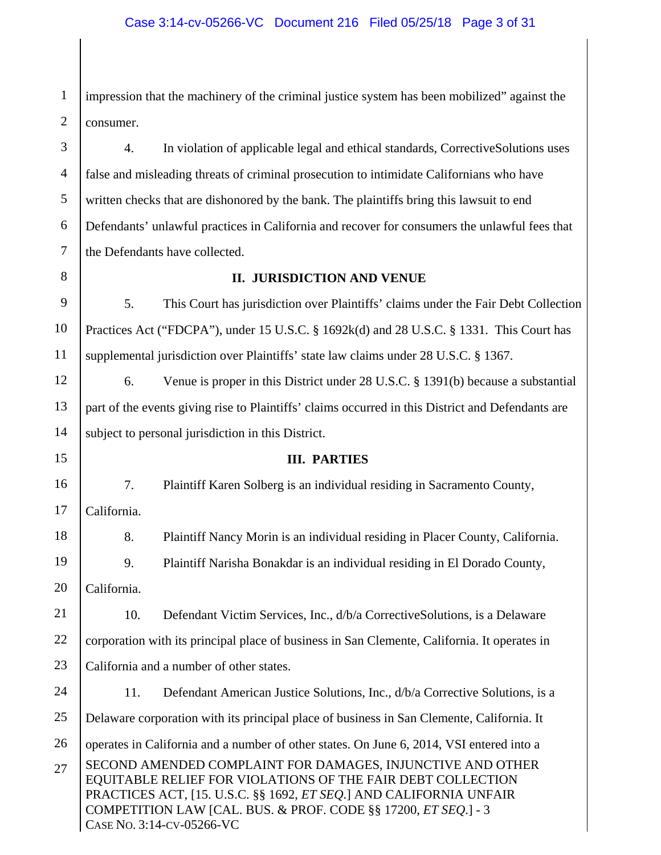#### Case 3:14-cv-05266-VC Document 216 Filed 05/25/18 Page 3 of 31

1 2 impression that the machinery of the criminal justice system has been mobilized" against the consumer.

3 4 5 6 7 4. In violation of applicable legal and ethical standards, CorrectiveSolutions uses false and misleading threats of criminal prosecution to intimidate Californians who have written checks that are dishonored by the bank. The plaintiffs bring this lawsuit to end Defendants' unlawful practices in California and recover for consumers the unlawful fees that the Defendants have collected.

8

#### **II. JURISDICTION AND VENUE**

9 10 11 5. This Court has jurisdiction over Plaintiffs' claims under the Fair Debt Collection Practices Act ("FDCPA"), under 15 U.S.C. § 1692k(d) and 28 U.S.C. § 1331. This Court has supplemental jurisdiction over Plaintiffs' state law claims under 28 U.S.C. § 1367.

12 13 14 6. Venue is proper in this District under 28 U.S.C. § 1391(b) because a substantial part of the events giving rise to Plaintiffs' claims occurred in this District and Defendants are subject to personal jurisdiction in this District.

15

16

18

#### **III. PARTIES**

7. Plaintiff Karen Solberg is an individual residing in Sacramento County,

17 California.

8. Plaintiff Nancy Morin is an individual residing in Placer County, California.

19 9. Plaintiff Narisha Bonakdar is an individual residing in El Dorado County,

20 California.

21 22 23 10. Defendant Victim Services, Inc., d/b/a CorrectiveSolutions, is a Delaware corporation with its principal place of business in San Clemente, California. It operates in California and a number of other states.

SECOND AMENDED COMPLAINT FOR DAMAGES, INJUNCTIVE AND OTHER EQUITABLE RELIEF FOR VIOLATIONS OF THE FAIR DEBT COLLECTION PRACTICES ACT, [15. U.S.C. §§ 1692, *ET SEQ*.] AND CALIFORNIA UNFAIR 24 25 26 27 11. Defendant American Justice Solutions, Inc., d/b/a Corrective Solutions, is a Delaware corporation with its principal place of business in San Clemente, California. It operates in California and a number of other states. On June 6, 2014, VSI entered into a

COMPETITION LAW [CAL. BUS. & PROF. CODE §§ 17200, *ET SEQ*.] - 3 CASE NO. 3:14-CV-05266-VC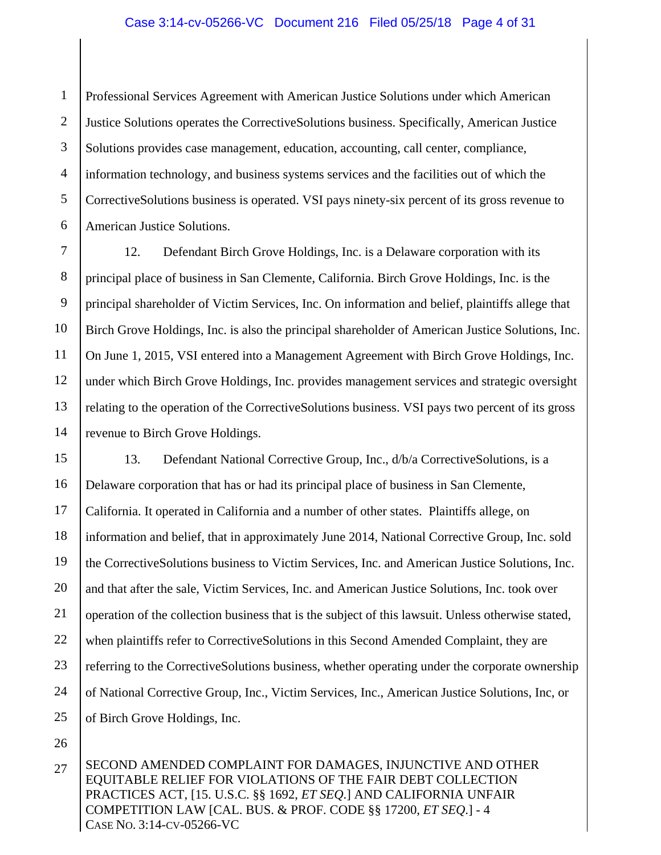#### Case 3:14-cv-05266-VC Document 216 Filed 05/25/18 Page 4 of 31

1 2 3 4 5 6 Professional Services Agreement with American Justice Solutions under which American Justice Solutions operates the CorrectiveSolutions business. Specifically, American Justice Solutions provides case management, education, accounting, call center, compliance, information technology, and business systems services and the facilities out of which the CorrectiveSolutions business is operated. VSI pays ninety-six percent of its gross revenue to American Justice Solutions.

7 8 9 10 11 12 13 14 12. Defendant Birch Grove Holdings, Inc. is a Delaware corporation with its principal place of business in San Clemente, California. Birch Grove Holdings, Inc. is the principal shareholder of Victim Services, Inc. On information and belief, plaintiffs allege that Birch Grove Holdings, Inc. is also the principal shareholder of American Justice Solutions, Inc. On June 1, 2015, VSI entered into a Management Agreement with Birch Grove Holdings, Inc. under which Birch Grove Holdings, Inc. provides management services and strategic oversight relating to the operation of the CorrectiveSolutions business. VSI pays two percent of its gross revenue to Birch Grove Holdings.

15 16 17 18 19 20 21 22 23 24 25 13. Defendant National Corrective Group, Inc., d/b/a CorrectiveSolutions, is a Delaware corporation that has or had its principal place of business in San Clemente, California. It operated in California and a number of other states. Plaintiffs allege, on information and belief, that in approximately June 2014, National Corrective Group, Inc. sold the CorrectiveSolutions business to Victim Services, Inc. and American Justice Solutions, Inc. and that after the sale, Victim Services, Inc. and American Justice Solutions, Inc. took over operation of the collection business that is the subject of this lawsuit. Unless otherwise stated, when plaintiffs refer to CorrectiveSolutions in this Second Amended Complaint, they are referring to the CorrectiveSolutions business, whether operating under the corporate ownership of National Corrective Group, Inc., Victim Services, Inc., American Justice Solutions, Inc, or of Birch Grove Holdings, Inc.

26

SECOND AMENDED COMPLAINT FOR DAMAGES, INJUNCTIVE AND OTHER EQUITABLE RELIEF FOR VIOLATIONS OF THE FAIR DEBT COLLECTION PRACTICES ACT, [15. U.S.C. §§ 1692, *ET SEQ*.] AND CALIFORNIA UNFAIR COMPETITION LAW [CAL. BUS. & PROF. CODE §§ 17200, *ET SEQ*.] - 4 CASE NO. 3:14-CV-05266-VC 27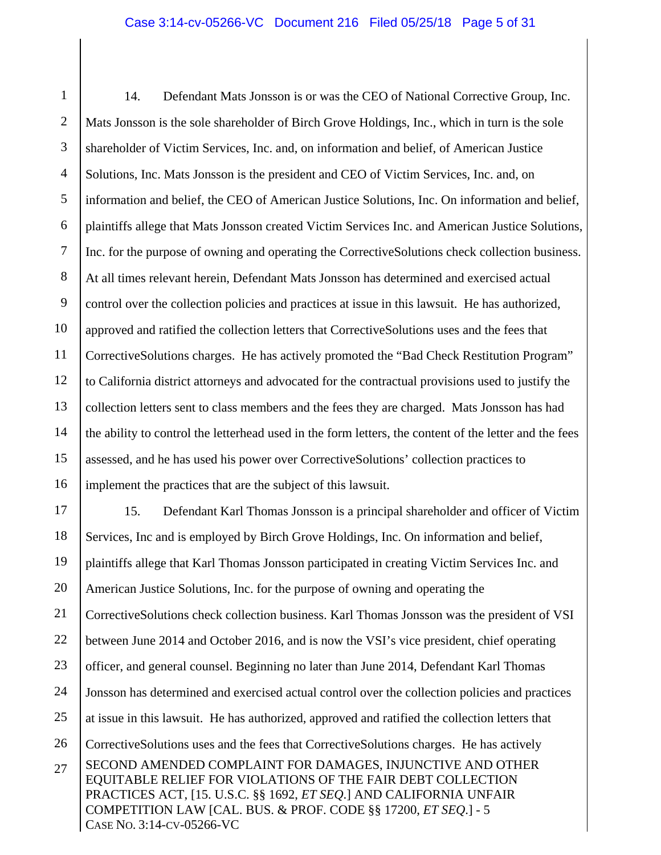#### Case 3:14-cv-05266-VC Document 216 Filed 05/25/18 Page 5 of 31

1 2 3 4 5 6 7 8 9 10 11 12 13 14 15 16 17 14. Defendant Mats Jonsson is or was the CEO of National Corrective Group, Inc. Mats Jonsson is the sole shareholder of Birch Grove Holdings, Inc., which in turn is the sole shareholder of Victim Services, Inc. and, on information and belief, of American Justice Solutions, Inc. Mats Jonsson is the president and CEO of Victim Services, Inc. and, on information and belief, the CEO of American Justice Solutions, Inc. On information and belief, plaintiffs allege that Mats Jonsson created Victim Services Inc. and American Justice Solutions, Inc. for the purpose of owning and operating the CorrectiveSolutions check collection business. At all times relevant herein, Defendant Mats Jonsson has determined and exercised actual control over the collection policies and practices at issue in this lawsuit. He has authorized, approved and ratified the collection letters that CorrectiveSolutions uses and the fees that CorrectiveSolutions charges. He has actively promoted the "Bad Check Restitution Program" to California district attorneys and advocated for the contractual provisions used to justify the collection letters sent to class members and the fees they are charged. Mats Jonsson has had the ability to control the letterhead used in the form letters, the content of the letter and the fees assessed, and he has used his power over CorrectiveSolutions' collection practices to implement the practices that are the subject of this lawsuit. 15. Defendant Karl Thomas Jonsson is a principal shareholder and officer of Victim

SECOND AMENDED COMPLAINT FOR DAMAGES, INJUNCTIVE AND OTHER EQUITABLE RELIEF FOR VIOLATIONS OF THE FAIR DEBT COLLECTION PRACTICES ACT, [15. U.S.C. §§ 1692, *ET SEQ*.] AND CALIFORNIA UNFAIR COMPETITION LAW [CAL. BUS. & PROF. CODE §§ 17200, *ET SEQ*.] - 5 CASE NO. 3:14-CV-05266-VC 18 19 20 21 22 23 24 25 26 27 Services, Inc and is employed by Birch Grove Holdings, Inc. On information and belief, plaintiffs allege that Karl Thomas Jonsson participated in creating Victim Services Inc. and American Justice Solutions, Inc. for the purpose of owning and operating the CorrectiveSolutions check collection business. Karl Thomas Jonsson was the president of VSI between June 2014 and October 2016, and is now the VSI's vice president, chief operating officer, and general counsel. Beginning no later than June 2014, Defendant Karl Thomas Jonsson has determined and exercised actual control over the collection policies and practices at issue in this lawsuit. He has authorized, approved and ratified the collection letters that CorrectiveSolutions uses and the fees that CorrectiveSolutions charges. He has actively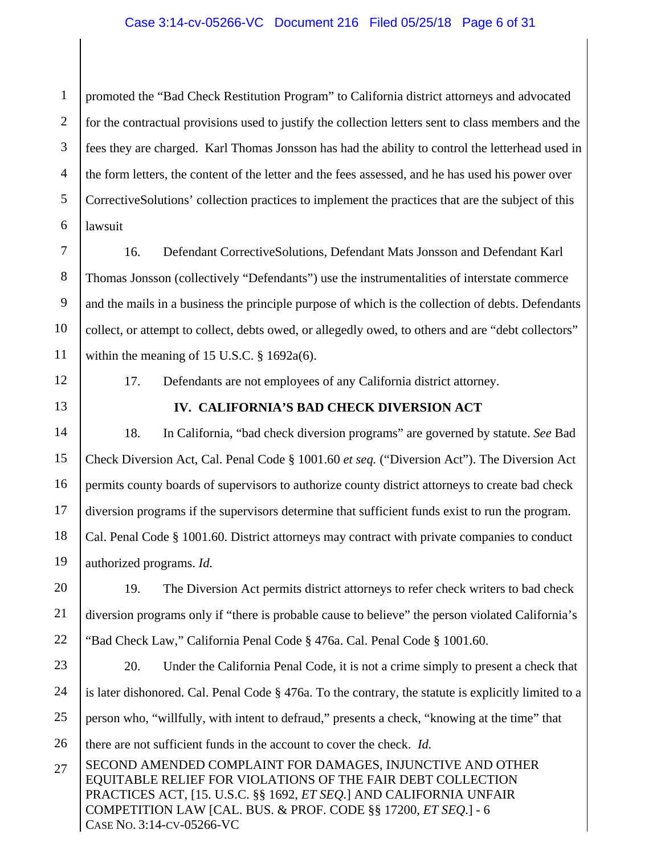#### Case 3:14-cv-05266-VC Document 216 Filed 05/25/18 Page 6 of 31

1 2 3 4 5 6 promoted the "Bad Check Restitution Program" to California district attorneys and advocated for the contractual provisions used to justify the collection letters sent to class members and the fees they are charged. Karl Thomas Jonsson has had the ability to control the letterhead used in the form letters, the content of the letter and the fees assessed, and he has used his power over CorrectiveSolutions' collection practices to implement the practices that are the subject of this lawsuit

7 8 9 10 11 16. Defendant CorrectiveSolutions, Defendant Mats Jonsson and Defendant Karl Thomas Jonsson (collectively "Defendants") use the instrumentalities of interstate commerce and the mails in a business the principle purpose of which is the collection of debts. Defendants collect, or attempt to collect, debts owed, or allegedly owed, to others and are "debt collectors" within the meaning of 15 U.S.C. § 1692a(6).

12

13

17. Defendants are not employees of any California district attorney.

#### **IV. CALIFORNIA'S BAD CHECK DIVERSION ACT**

14 15 16 17 18 19 18. In California, "bad check diversion programs" are governed by statute. *See* Bad Check Diversion Act, Cal. Penal Code § 1001.60 *et seq.* ("Diversion Act"). The Diversion Act permits county boards of supervisors to authorize county district attorneys to create bad check diversion programs if the supervisors determine that sufficient funds exist to run the program. Cal. Penal Code § 1001.60. District attorneys may contract with private companies to conduct authorized programs. *Id.*

20 21 22 19. The Diversion Act permits district attorneys to refer check writers to bad check diversion programs only if "there is probable cause to believe" the person violated California's "Bad Check Law," California Penal Code § 476a. Cal. Penal Code § 1001.60.

- 23 24 25 26 20. Under the California Penal Code, it is not a crime simply to present a check that is later dishonored. Cal. Penal Code § 476a. To the contrary, the statute is explicitly limited to a person who, "willfully, with intent to defraud," presents a check, "knowing at the time" that there are not sufficient funds in the account to cover the check. *Id.*
- SECOND AMENDED COMPLAINT FOR DAMAGES, INJUNCTIVE AND OTHER EQUITABLE RELIEF FOR VIOLATIONS OF THE FAIR DEBT COLLECTION PRACTICES ACT, [15. U.S.C. §§ 1692, *ET SEQ*.] AND CALIFORNIA UNFAIR COMPETITION LAW [CAL. BUS. & PROF. CODE §§ 17200, *ET SEQ*.] - 6 CASE NO. 3:14-CV-05266-VC 27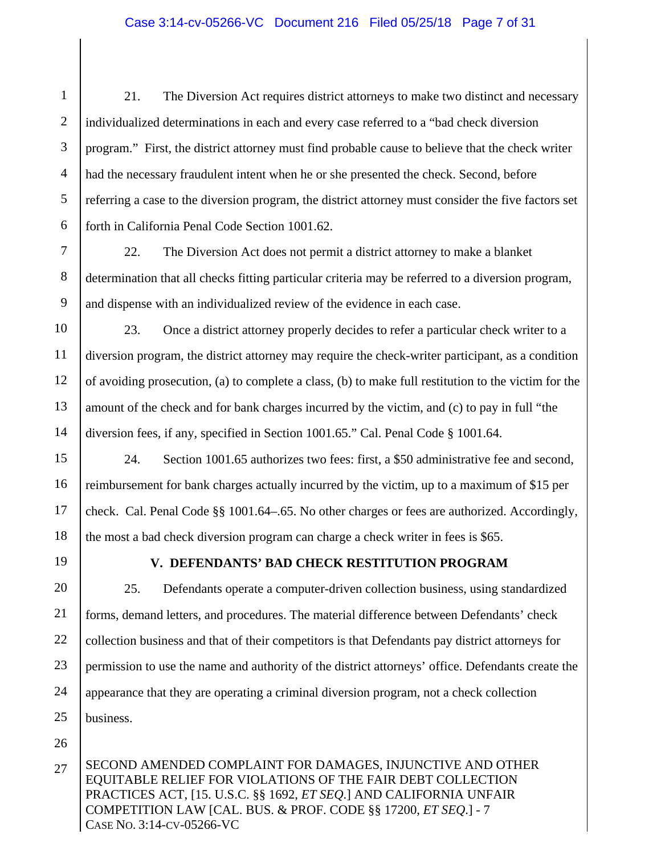#### Case 3:14-cv-05266-VC Document 216 Filed 05/25/18 Page 7 of 31

1 2 3 4 5 6 21. The Diversion Act requires district attorneys to make two distinct and necessary individualized determinations in each and every case referred to a "bad check diversion program." First, the district attorney must find probable cause to believe that the check writer had the necessary fraudulent intent when he or she presented the check. Second, before referring a case to the diversion program, the district attorney must consider the five factors set forth in California Penal Code Section 1001.62.

7 8 9 22. The Diversion Act does not permit a district attorney to make a blanket determination that all checks fitting particular criteria may be referred to a diversion program, and dispense with an individualized review of the evidence in each case.

10 11 12 13 14 23. Once a district attorney properly decides to refer a particular check writer to a diversion program, the district attorney may require the check-writer participant, as a condition of avoiding prosecution, (a) to complete a class, (b) to make full restitution to the victim for the amount of the check and for bank charges incurred by the victim, and (c) to pay in full "the diversion fees, if any, specified in Section 1001.65." Cal. Penal Code § 1001.64.

15 16 17 18 24. Section 1001.65 authorizes two fees: first, a \$50 administrative fee and second, reimbursement for bank charges actually incurred by the victim, up to a maximum of \$15 per check. Cal. Penal Code §§ 1001.64–.65. No other charges or fees are authorized. Accordingly, the most a bad check diversion program can charge a check writer in fees is \$65.

19

#### **V. DEFENDANTS' BAD CHECK RESTITUTION PROGRAM**

20 21 22 23 24 25 25. Defendants operate a computer-driven collection business, using standardized forms, demand letters, and procedures. The material difference between Defendants' check collection business and that of their competitors is that Defendants pay district attorneys for permission to use the name and authority of the district attorneys' office. Defendants create the appearance that they are operating a criminal diversion program, not a check collection business.

26

SECOND AMENDED COMPLAINT FOR DAMAGES, INJUNCTIVE AND OTHER EQUITABLE RELIEF FOR VIOLATIONS OF THE FAIR DEBT COLLECTION PRACTICES ACT, [15. U.S.C. §§ 1692, *ET SEQ*.] AND CALIFORNIA UNFAIR COMPETITION LAW [CAL. BUS. & PROF. CODE §§ 17200, *ET SEQ*.] - 7 CASE NO. 3:14-CV-05266-VC 27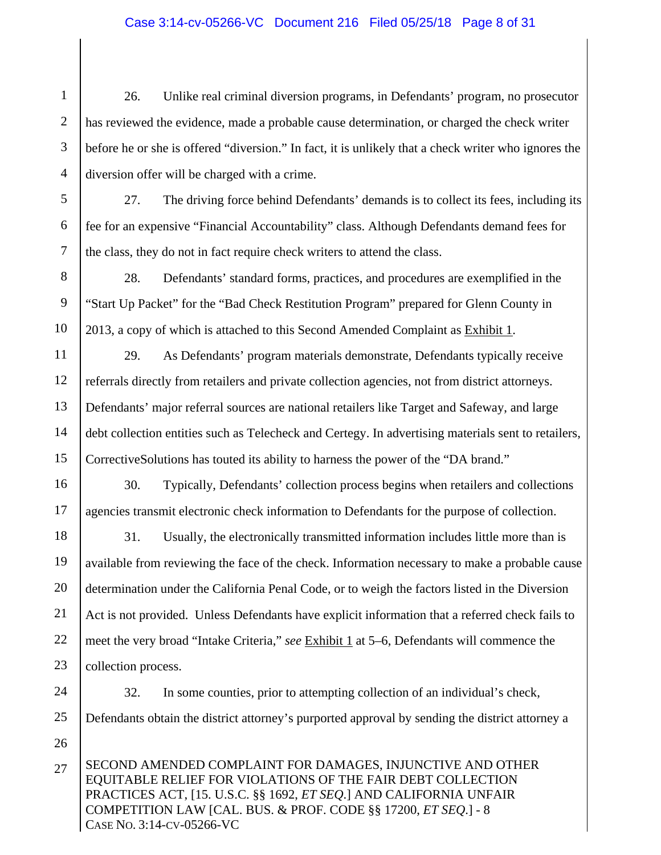#### Case 3:14-cv-05266-VC Document 216 Filed 05/25/18 Page 8 of 31

1 2 3 4 26. Unlike real criminal diversion programs, in Defendants' program, no prosecutor has reviewed the evidence, made a probable cause determination, or charged the check writer before he or she is offered "diversion." In fact, it is unlikely that a check writer who ignores the diversion offer will be charged with a crime.

5 6 7 27. The driving force behind Defendants' demands is to collect its fees, including its fee for an expensive "Financial Accountability" class. Although Defendants demand fees for the class, they do not in fact require check writers to attend the class.

8 9 10 28. Defendants' standard forms, practices, and procedures are exemplified in the "Start Up Packet" for the "Bad Check Restitution Program" prepared for Glenn County in 2013, a copy of which is attached to this Second Amended Complaint as Exhibit 1.

11 12 13 14 15 29. As Defendants' program materials demonstrate, Defendants typically receive referrals directly from retailers and private collection agencies, not from district attorneys. Defendants' major referral sources are national retailers like Target and Safeway, and large debt collection entities such as Telecheck and Certegy. In advertising materials sent to retailers, CorrectiveSolutions has touted its ability to harness the power of the "DA brand."

16 17 30. Typically, Defendants' collection process begins when retailers and collections agencies transmit electronic check information to Defendants for the purpose of collection.

18 19 20 21 22 23 31. Usually, the electronically transmitted information includes little more than is available from reviewing the face of the check. Information necessary to make a probable cause determination under the California Penal Code, or to weigh the factors listed in the Diversion Act is not provided. Unless Defendants have explicit information that a referred check fails to meet the very broad "Intake Criteria," *see* Exhibit 1 at 5–6, Defendants will commence the collection process.

24

32. In some counties, prior to attempting collection of an individual's check,

25 26 Defendants obtain the district attorney's purported approval by sending the district attorney a

SECOND AMENDED COMPLAINT FOR DAMAGES, INJUNCTIVE AND OTHER EQUITABLE RELIEF FOR VIOLATIONS OF THE FAIR DEBT COLLECTION PRACTICES ACT, [15. U.S.C. §§ 1692, *ET SEQ*.] AND CALIFORNIA UNFAIR COMPETITION LAW [CAL. BUS. & PROF. CODE §§ 17200, *ET SEQ*.] - 8 CASE NO. 3:14-CV-05266-VC 27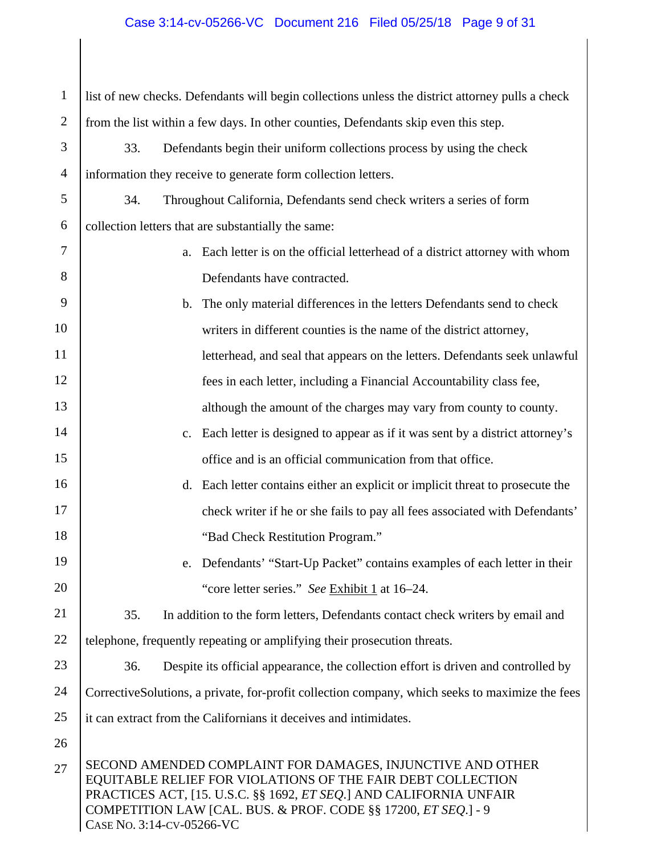## Case 3:14-cv-05266-VC Document 216 Filed 05/25/18 Page 9 of 31

| $\mathbf{1}$   | list of new checks. Defendants will begin collections unless the district attorney pulls a check                                                                                                                                                                                                       |  |  |
|----------------|--------------------------------------------------------------------------------------------------------------------------------------------------------------------------------------------------------------------------------------------------------------------------------------------------------|--|--|
| $\overline{2}$ | from the list within a few days. In other counties, Defendants skip even this step.                                                                                                                                                                                                                    |  |  |
| 3              | 33.<br>Defendants begin their uniform collections process by using the check                                                                                                                                                                                                                           |  |  |
| $\overline{4}$ | information they receive to generate form collection letters.                                                                                                                                                                                                                                          |  |  |
| 5              | 34.<br>Throughout California, Defendants send check writers a series of form                                                                                                                                                                                                                           |  |  |
| 6              | collection letters that are substantially the same:                                                                                                                                                                                                                                                    |  |  |
| 7              | Each letter is on the official letterhead of a district attorney with whom<br>a.                                                                                                                                                                                                                       |  |  |
| 8              | Defendants have contracted.                                                                                                                                                                                                                                                                            |  |  |
| 9              | The only material differences in the letters Defendants send to check<br>$\mathbf b$ .                                                                                                                                                                                                                 |  |  |
| 10             | writers in different counties is the name of the district attorney,                                                                                                                                                                                                                                    |  |  |
| 11             | letterhead, and seal that appears on the letters. Defendants seek unlawful                                                                                                                                                                                                                             |  |  |
| 12             | fees in each letter, including a Financial Accountability class fee,                                                                                                                                                                                                                                   |  |  |
| 13             | although the amount of the charges may vary from county to county.                                                                                                                                                                                                                                     |  |  |
| 14             | Each letter is designed to appear as if it was sent by a district attorney's<br>c.                                                                                                                                                                                                                     |  |  |
| 15             | office and is an official communication from that office.                                                                                                                                                                                                                                              |  |  |
| 16             | Each letter contains either an explicit or implicit threat to prosecute the<br>$d_{\cdot}$                                                                                                                                                                                                             |  |  |
| 17             | check writer if he or she fails to pay all fees associated with Defendants'                                                                                                                                                                                                                            |  |  |
| 18             | "Bad Check Restitution Program."                                                                                                                                                                                                                                                                       |  |  |
| 19             | Defendants' "Start-Up Packet" contains examples of each letter in their                                                                                                                                                                                                                                |  |  |
| 20             | "core letter series." See Exhibit 1 at 16–24.                                                                                                                                                                                                                                                          |  |  |
| 21             | 35.<br>In addition to the form letters, Defendants contact check writers by email and                                                                                                                                                                                                                  |  |  |
| 22             | telephone, frequently repeating or amplifying their prosecution threats.                                                                                                                                                                                                                               |  |  |
| 23             | 36.<br>Despite its official appearance, the collection effort is driven and controlled by                                                                                                                                                                                                              |  |  |
| 24             | CorrectiveSolutions, a private, for-profit collection company, which seeks to maximize the fees                                                                                                                                                                                                        |  |  |
| 25             | it can extract from the Californians it deceives and intimidates.                                                                                                                                                                                                                                      |  |  |
| 26             |                                                                                                                                                                                                                                                                                                        |  |  |
| 27             | SECOND AMENDED COMPLAINT FOR DAMAGES, INJUNCTIVE AND OTHER<br>EQUITABLE RELIEF FOR VIOLATIONS OF THE FAIR DEBT COLLECTION<br>PRACTICES ACT, [15. U.S.C. §§ 1692, <i>ET SEQ</i> .] AND CALIFORNIA UNFAIR<br>COMPETITION LAW [CAL. BUS. & PROF. CODE §§ 17200, ET SEQ.] - 9<br>CASE NO. 3:14-CV-05266-VC |  |  |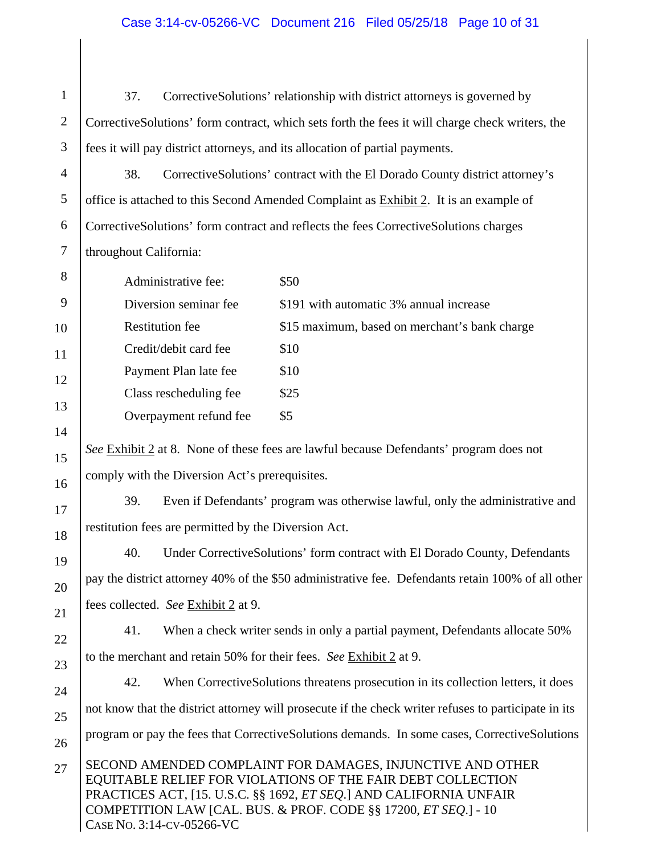#### Case 3:14-cv-05266-VC Document 216 Filed 05/25/18 Page 10 of 31

1 2 3 37. CorrectiveSolutions' relationship with district attorneys is governed by CorrectiveSolutions' form contract, which sets forth the fees it will charge check writers, the fees it will pay district attorneys, and its allocation of partial payments.

4 5 6 7 38. CorrectiveSolutions' contract with the El Dorado County district attorney's office is attached to this Second Amended Complaint as Exhibit 2. It is an example of CorrectiveSolutions' form contract and reflects the fees CorrectiveSolutions charges throughout California:

| 8  | Administrative fee:    | \$50                                          |
|----|------------------------|-----------------------------------------------|
|    | Diversion seminar fee  | \$191 with automatic 3% annual increase       |
| 10 | <b>Restitution fee</b> | \$15 maximum, based on merchant's bank charge |
| 11 | Credit/debit card fee  | \$10                                          |
| 12 | Payment Plan late fee  | \$10                                          |
|    | Class rescheduling fee | \$25                                          |
| 13 | Overpayment refund fee | \$5                                           |

14

15

16

17

18

19

20

21

22

23

*See* Exhibit 2 at 8. None of these fees are lawful because Defendants' program does not comply with the Diversion Act's prerequisites.

39. Even if Defendants' program was otherwise lawful, only the administrative and restitution fees are permitted by the Diversion Act.

40. Under CorrectiveSolutions' form contract with El Dorado County, Defendants pay the district attorney 40% of the \$50 administrative fee. Defendants retain 100% of all other fees collected. *See* Exhibit 2 at 9.

41. When a check writer sends in only a partial payment, Defendants allocate 50% to the merchant and retain 50% for their fees. *See* Exhibit 2 at 9.

SECOND AMENDED COMPLAINT FOR DAMAGES, INJUNCTIVE AND OTHER 24 25 26 27 42. When CorrectiveSolutions threatens prosecution in its collection letters, it does not know that the district attorney will prosecute if the check writer refuses to participate in its program or pay the fees that CorrectiveSolutions demands. In some cases, CorrectiveSolutions

EQUITABLE RELIEF FOR VIOLATIONS OF THE FAIR DEBT COLLECTION PRACTICES ACT, [15. U.S.C. §§ 1692, *ET SEQ*.] AND CALIFORNIA UNFAIR COMPETITION LAW [CAL. BUS. & PROF. CODE §§ 17200, *ET SEQ*.] - 10 CASE NO. 3:14-CV-05266-VC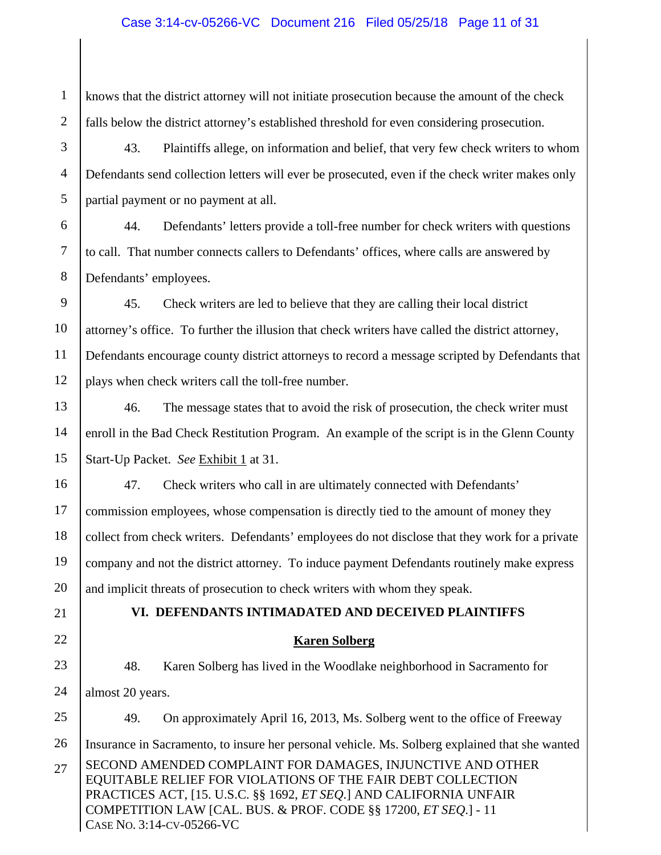#### Case 3:14-cv-05266-VC Document 216 Filed 05/25/18 Page 11 of 31

SECOND AMENDED COMPLAINT FOR DAMAGES, INJUNCTIVE AND OTHER EQUITABLE RELIEF FOR VIOLATIONS OF THE FAIR DEBT COLLECTION PRACTICES ACT, [15. U.S.C. §§ 1692, *ET SEQ*.] AND CALIFORNIA UNFAIR COMPETITION LAW [CAL. BUS. & PROF. CODE §§ 17200, *ET SEQ*.] - 11 CASE NO. 3:14-CV-05266-VC 1 2 3 4 5 6 7 8 9 10 11 12 13 14 15 16 17 18 19 20 21 22 23 24 25 26 27 knows that the district attorney will not initiate prosecution because the amount of the check falls below the district attorney's established threshold for even considering prosecution. 43. Plaintiffs allege, on information and belief, that very few check writers to whom Defendants send collection letters will ever be prosecuted, even if the check writer makes only partial payment or no payment at all. 44. Defendants' letters provide a toll-free number for check writers with questions to call. That number connects callers to Defendants' offices, where calls are answered by Defendants' employees. 45. Check writers are led to believe that they are calling their local district attorney's office. To further the illusion that check writers have called the district attorney, Defendants encourage county district attorneys to record a message scripted by Defendants that plays when check writers call the toll-free number. 46. The message states that to avoid the risk of prosecution, the check writer must enroll in the Bad Check Restitution Program. An example of the script is in the Glenn County Start-Up Packet. *See* Exhibit 1 at 31. 47. Check writers who call in are ultimately connected with Defendants' commission employees, whose compensation is directly tied to the amount of money they collect from check writers. Defendants' employees do not disclose that they work for a private company and not the district attorney. To induce payment Defendants routinely make express and implicit threats of prosecution to check writers with whom they speak. **VI. DEFENDANTS INTIMADATED AND DECEIVED PLAINTIFFS Karen Solberg**  48. Karen Solberg has lived in the Woodlake neighborhood in Sacramento for almost 20 years. 49. On approximately April 16, 2013, Ms. Solberg went to the office of Freeway Insurance in Sacramento, to insure her personal vehicle. Ms. Solberg explained that she wanted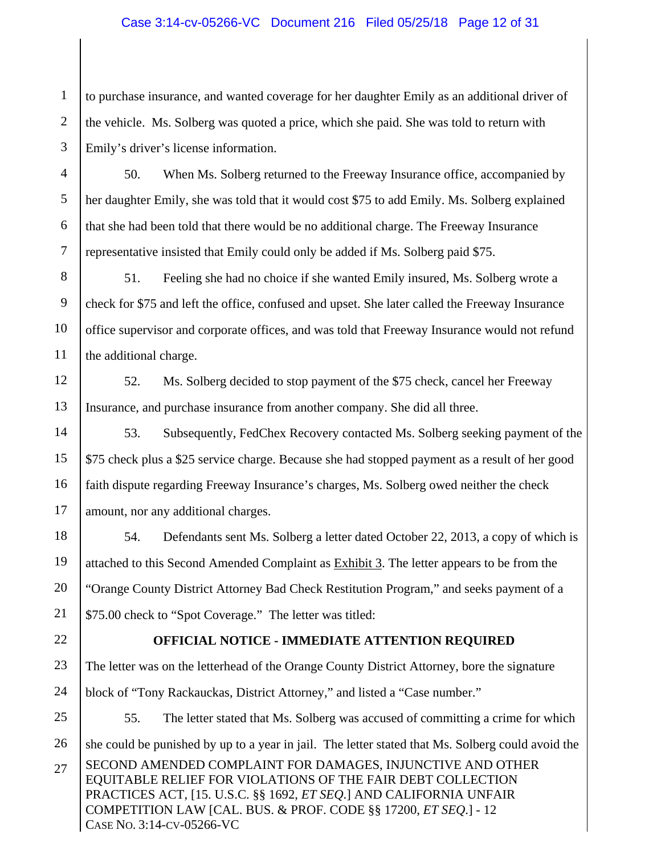#### Case 3:14-cv-05266-VC Document 216 Filed 05/25/18 Page 12 of 31

1 2 3 to purchase insurance, and wanted coverage for her daughter Emily as an additional driver of the vehicle. Ms. Solberg was quoted a price, which she paid. She was told to return with Emily's driver's license information.

4 5 6 7 50. When Ms. Solberg returned to the Freeway Insurance office, accompanied by her daughter Emily, she was told that it would cost \$75 to add Emily. Ms. Solberg explained that she had been told that there would be no additional charge. The Freeway Insurance representative insisted that Emily could only be added if Ms. Solberg paid \$75.

8 9 10 11 51. Feeling she had no choice if she wanted Emily insured, Ms. Solberg wrote a check for \$75 and left the office, confused and upset. She later called the Freeway Insurance office supervisor and corporate offices, and was told that Freeway Insurance would not refund the additional charge.

12

13 52. Ms. Solberg decided to stop payment of the \$75 check, cancel her Freeway Insurance, and purchase insurance from another company. She did all three.

14 15 16 17 53. Subsequently, FedChex Recovery contacted Ms. Solberg seeking payment of the \$75 check plus a \$25 service charge. Because she had stopped payment as a result of her good faith dispute regarding Freeway Insurance's charges, Ms. Solberg owed neither the check amount, nor any additional charges.

18 19 20 21 54. Defendants sent Ms. Solberg a letter dated October 22, 2013, a copy of which is attached to this Second Amended Complaint as **Exhibit 3**. The letter appears to be from the "Orange County District Attorney Bad Check Restitution Program," and seeks payment of a \$75.00 check to "Spot Coverage." The letter was titled:

22

#### **OFFICIAL NOTICE - IMMEDIATE ATTENTION REQUIRED**

23 24 The letter was on the letterhead of the Orange County District Attorney, bore the signature block of "Tony Rackauckas, District Attorney," and listed a "Case number."

SECOND AMENDED COMPLAINT FOR DAMAGES, INJUNCTIVE AND OTHER EQUITABLE RELIEF FOR VIOLATIONS OF THE FAIR DEBT COLLECTION PRACTICES ACT, [15. U.S.C. §§ 1692, *ET SEQ*.] AND CALIFORNIA UNFAIR 25 26 27 55. The letter stated that Ms. Solberg was accused of committing a crime for which she could be punished by up to a year in jail. The letter stated that Ms. Solberg could avoid the

COMPETITION LAW [CAL. BUS. & PROF. CODE §§ 17200, *ET SEQ*.] - 12 CASE NO. 3:14-CV-05266-VC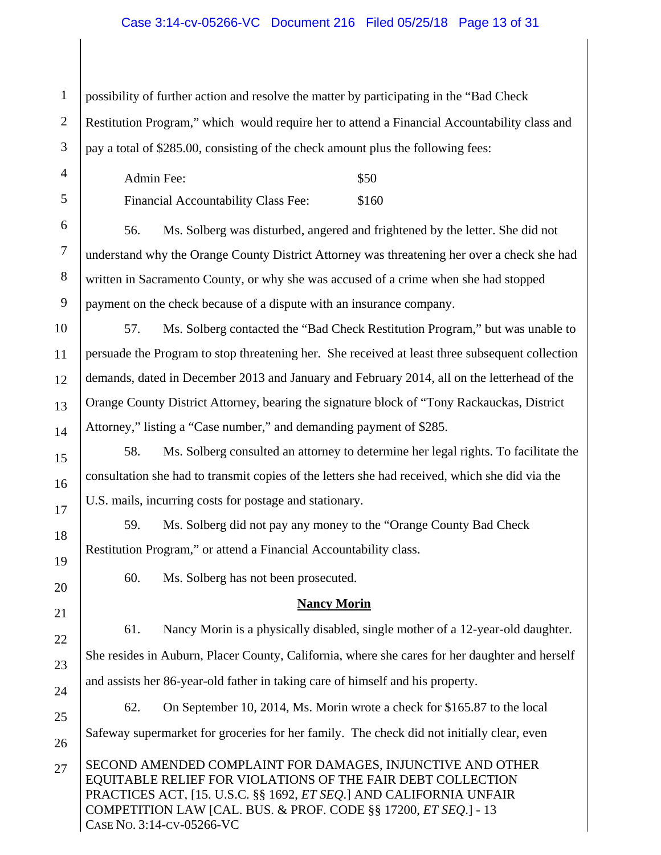#### Case 3:14-cv-05266-VC Document 216 Filed 05/25/18 Page 13 of 31

1 2 3 possibility of further action and resolve the matter by participating in the "Bad Check Restitution Program," which would require her to attend a Financial Accountability class and pay a total of \$285.00, consisting of the check amount plus the following fees:

| Admin Fee:                                 | \$50  |
|--------------------------------------------|-------|
| <b>Financial Accountability Class Fee:</b> | \$160 |

6 7 8 9 56. Ms. Solberg was disturbed, angered and frightened by the letter. She did not understand why the Orange County District Attorney was threatening her over a check she had written in Sacramento County, or why she was accused of a crime when she had stopped payment on the check because of a dispute with an insurance company.

10

11

12

13

14

15

17

18

19

20

21

22

23

24

25

4

5

57. Ms. Solberg contacted the "Bad Check Restitution Program," but was unable to persuade the Program to stop threatening her. She received at least three subsequent collection demands, dated in December 2013 and January and February 2014, all on the letterhead of the Orange County District Attorney, bearing the signature block of "Tony Rackauckas, District Attorney," listing a "Case number," and demanding payment of \$285.

16 58. Ms. Solberg consulted an attorney to determine her legal rights. To facilitate the consultation she had to transmit copies of the letters she had received, which she did via the U.S. mails, incurring costs for postage and stationary.

59. Ms. Solberg did not pay any money to the "Orange County Bad Check Restitution Program," or attend a Financial Accountability class.

60. Ms. Solberg has not been prosecuted.

#### **Nancy Morin**

61. Nancy Morin is a physically disabled, single mother of a 12-year-old daughter. She resides in Auburn, Placer County, California, where she cares for her daughter and herself and assists her 86-year-old father in taking care of himself and his property.

26 62. On September 10, 2014, Ms. Morin wrote a check for \$165.87 to the local Safeway supermarket for groceries for her family. The check did not initially clear, even

SECOND AMENDED COMPLAINT FOR DAMAGES, INJUNCTIVE AND OTHER EQUITABLE RELIEF FOR VIOLATIONS OF THE FAIR DEBT COLLECTION PRACTICES ACT, [15. U.S.C. §§ 1692, *ET SEQ*.] AND CALIFORNIA UNFAIR COMPETITION LAW [CAL. BUS. & PROF. CODE §§ 17200, *ET SEQ*.] - 13 CASE NO. 3:14-CV-05266-VC 27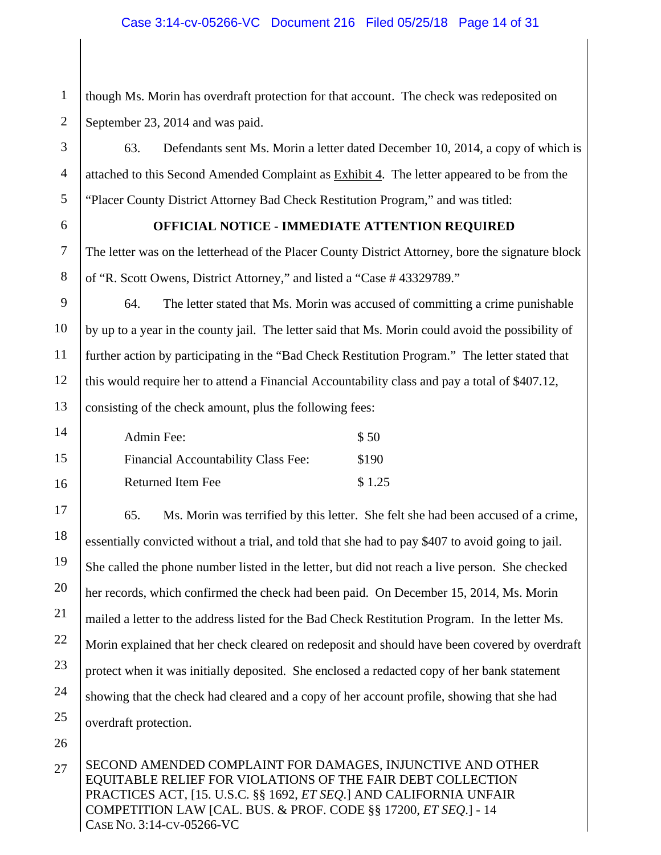1 2 though Ms. Morin has overdraft protection for that account. The check was redeposited on September 23, 2014 and was paid.

63. Defendants sent Ms. Morin a letter dated December 10, 2014, a copy of which is attached to this Second Amended Complaint as Exhibit 4. The letter appeared to be from the "Placer County District Attorney Bad Check Restitution Program," and was titled:

6

3

4

5

7

#### **OFFICIAL NOTICE - IMMEDIATE ATTENTION REQUIRED**

The letter was on the letterhead of the Placer County District Attorney, bore the signature block of "R. Scott Owens, District Attorney," and listed a "Case # 43329789."

8 9

11

10 12 13 64. The letter stated that Ms. Morin was accused of committing a crime punishable by up to a year in the county jail. The letter said that Ms. Morin could avoid the possibility of further action by participating in the "Bad Check Restitution Program." The letter stated that this would require her to attend a Financial Accountability class and pay a total of \$407.12, consisting of the check amount, plus the following fees:

| 14 | Admin Fee:                                 | \$50   |
|----|--------------------------------------------|--------|
| 15 | <b>Financial Accountability Class Fee:</b> | \$190  |
| 16 | <b>Returned Item Fee</b>                   | \$1.25 |

17 18 19 20 21 22 23 24 25 65. Ms. Morin was terrified by this letter. She felt she had been accused of a crime, essentially convicted without a trial, and told that she had to pay \$407 to avoid going to jail. She called the phone number listed in the letter, but did not reach a live person. She checked her records, which confirmed the check had been paid. On December 15, 2014, Ms. Morin mailed a letter to the address listed for the Bad Check Restitution Program. In the letter Ms. Morin explained that her check cleared on redeposit and should have been covered by overdraft protect when it was initially deposited. She enclosed a redacted copy of her bank statement showing that the check had cleared and a copy of her account profile, showing that she had overdraft protection.

26

SECOND AMENDED COMPLAINT FOR DAMAGES, INJUNCTIVE AND OTHER EQUITABLE RELIEF FOR VIOLATIONS OF THE FAIR DEBT COLLECTION PRACTICES ACT, [15. U.S.C. §§ 1692, *ET SEQ*.] AND CALIFORNIA UNFAIR COMPETITION LAW [CAL. BUS. & PROF. CODE §§ 17200, *ET SEQ*.] - 14 CASE NO. 3:14-CV-05266-VC 27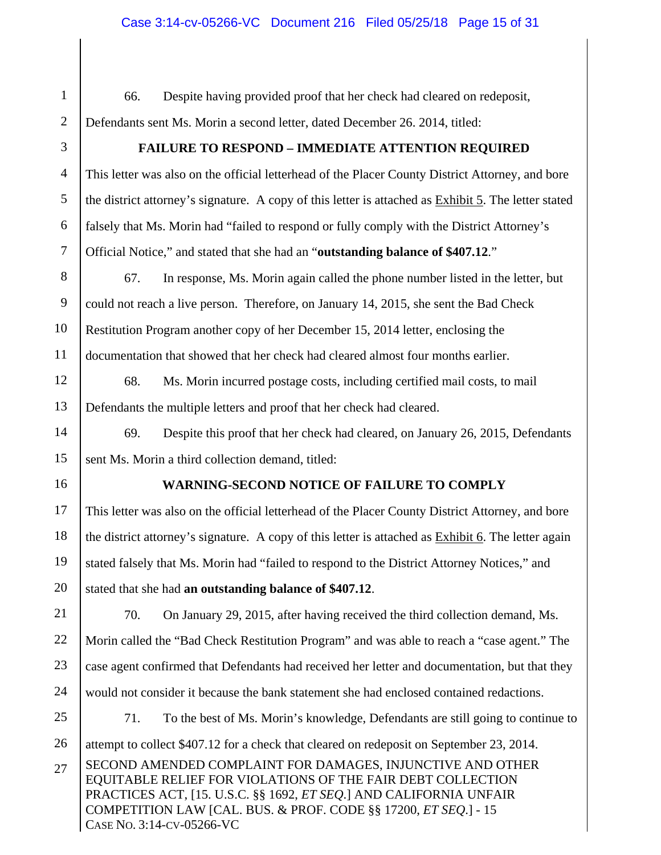SECOND AMENDED COMPLAINT FOR DAMAGES, INJUNCTIVE AND OTHER EQUITABLE RELIEF FOR VIOLATIONS OF THE FAIR DEBT COLLECTION PRACTICES ACT, [15. U.S.C. §§ 1692, *ET SEQ*.] AND CALIFORNIA UNFAIR COMPETITION LAW [CAL. BUS. & PROF. CODE §§ 17200, *ET SEQ*.] - 15 CASE NO. 3:14-CV-05266-VC 1 2 3 4 5 6 7 8 9 10 11 12 13 14 15 16 17 18 19 20 21 22 23 24 25 26 27 66. Despite having provided proof that her check had cleared on redeposit, Defendants sent Ms. Morin a second letter, dated December 26. 2014, titled: **FAILURE TO RESPOND – IMMEDIATE ATTENTION REQUIRED**  This letter was also on the official letterhead of the Placer County District Attorney, and bore the district attorney's signature. A copy of this letter is attached as Exhibit 5. The letter stated falsely that Ms. Morin had "failed to respond or fully comply with the District Attorney's Official Notice," and stated that she had an "**outstanding balance of \$407.12**." 67. In response, Ms. Morin again called the phone number listed in the letter, but could not reach a live person. Therefore, on January 14, 2015, she sent the Bad Check Restitution Program another copy of her December 15, 2014 letter, enclosing the documentation that showed that her check had cleared almost four months earlier. 68. Ms. Morin incurred postage costs, including certified mail costs, to mail Defendants the multiple letters and proof that her check had cleared. 69. Despite this proof that her check had cleared, on January 26, 2015, Defendants sent Ms. Morin a third collection demand, titled: **WARNING-SECOND NOTICE OF FAILURE TO COMPLY**  This letter was also on the official letterhead of the Placer County District Attorney, and bore the district attorney's signature. A copy of this letter is attached as Exhibit 6. The letter again stated falsely that Ms. Morin had "failed to respond to the District Attorney Notices," and stated that she had **an outstanding balance of \$407.12**. 70. On January 29, 2015, after having received the third collection demand, Ms. Morin called the "Bad Check Restitution Program" and was able to reach a "case agent." The case agent confirmed that Defendants had received her letter and documentation, but that they would not consider it because the bank statement she had enclosed contained redactions. 71. To the best of Ms. Morin's knowledge, Defendants are still going to continue to attempt to collect \$407.12 for a check that cleared on redeposit on September 23, 2014.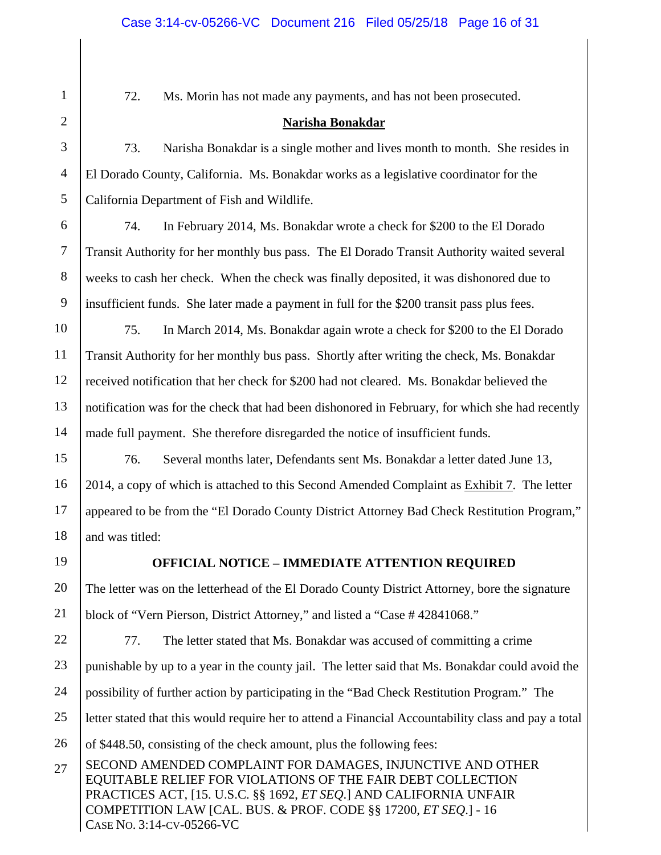72. Ms. Morin has not made any payments, and has not been prosecuted.

#### **Narisha Bonakdar**

73. Narisha Bonakdar is a single mother and lives month to month. She resides in El Dorado County, California. Ms. Bonakdar works as a legislative coordinator for the California Department of Fish and Wildlife.

6 74. In February 2014, Ms. Bonakdar wrote a check for \$200 to the El Dorado Transit Authority for her monthly bus pass. The El Dorado Transit Authority waited several weeks to cash her check. When the check was finally deposited, it was dishonored due to insufficient funds. She later made a payment in full for the \$200 transit pass plus fees.

10 11 12 13 14 75. In March 2014, Ms. Bonakdar again wrote a check for \$200 to the El Dorado Transit Authority for her monthly bus pass. Shortly after writing the check, Ms. Bonakdar received notification that her check for \$200 had not cleared. Ms. Bonakdar believed the notification was for the check that had been dishonored in February, for which she had recently made full payment. She therefore disregarded the notice of insufficient funds.

15 16 17 18 76. Several months later, Defendants sent Ms. Bonakdar a letter dated June 13, 2014, a copy of which is attached to this Second Amended Complaint as **Exhibit 7.** The letter appeared to be from the "El Dorado County District Attorney Bad Check Restitution Program," and was titled:

19

### **OFFICIAL NOTICE – IMMEDIATE ATTENTION REQUIRED**

20 21 The letter was on the letterhead of the El Dorado County District Attorney, bore the signature block of "Vern Pierson, District Attorney," and listed a "Case # 42841068."

22 23 24 25 26 77. The letter stated that Ms. Bonakdar was accused of committing a crime punishable by up to a year in the county jail. The letter said that Ms. Bonakdar could avoid the possibility of further action by participating in the "Bad Check Restitution Program." The letter stated that this would require her to attend a Financial Accountability class and pay a total of \$448.50, consisting of the check amount, plus the following fees:

SECOND AMENDED COMPLAINT FOR DAMAGES, INJUNCTIVE AND OTHER EQUITABLE RELIEF FOR VIOLATIONS OF THE FAIR DEBT COLLECTION PRACTICES ACT, [15. U.S.C. §§ 1692, *ET SEQ*.] AND CALIFORNIA UNFAIR COMPETITION LAW [CAL. BUS. & PROF. CODE §§ 17200, *ET SEQ*.] - 16 CASE NO. 3:14-CV-05266-VC 27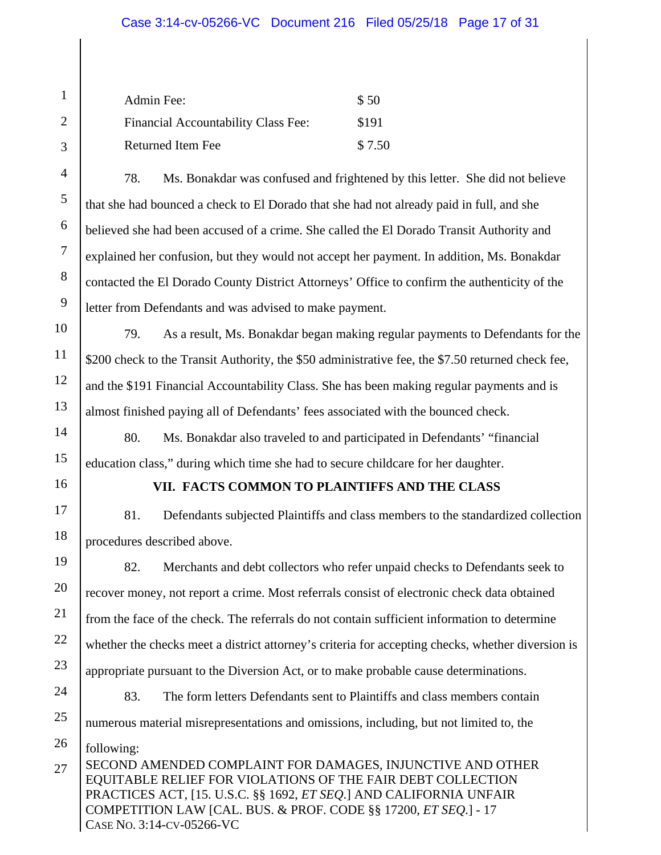#### Case 3:14-cv-05266-VC Document 216 Filed 05/25/18 Page 17 of 31

| Admin Fee:                          | \$ 50  |
|-------------------------------------|--------|
| Financial Accountability Class Fee: | \$191  |
| Returned Item Fee                   | \$7.50 |

78. Ms. Bonakdar was confused and frightened by this letter. She did not believe that she had bounced a check to El Dorado that she had not already paid in full, and she believed she had been accused of a crime. She called the El Dorado Transit Authority and explained her confusion, but they would not accept her payment. In addition, Ms. Bonakdar contacted the El Dorado County District Attorneys' Office to confirm the authenticity of the letter from Defendants and was advised to make payment.

79. As a result, Ms. Bonakdar began making regular payments to Defendants for the \$200 check to the Transit Authority, the \$50 administrative fee, the \$7.50 returned check fee, and the \$191 Financial Accountability Class. She has been making regular payments and is almost finished paying all of Defendants' fees associated with the bounced check.

80. Ms. Bonakdar also traveled to and participated in Defendants' "financial education class," during which time she had to secure childcare for her daughter.

1

2

3

4

5

6

7

8

9

10

11

12

13

14

15

16

#### **VII. FACTS COMMON TO PLAINTIFFS AND THE CLASS**

17 18 81. Defendants subjected Plaintiffs and class members to the standardized collection procedures described above.

19 20 21 22 23 24 82. Merchants and debt collectors who refer unpaid checks to Defendants seek to recover money, not report a crime. Most referrals consist of electronic check data obtained from the face of the check. The referrals do not contain sufficient information to determine whether the checks meet a district attorney's criteria for accepting checks, whether diversion is appropriate pursuant to the Diversion Act, or to make probable cause determinations. 83. The form letters Defendants sent to Plaintiffs and class members contain

25 numerous material misrepresentations and omissions, including, but not limited to, the

26 following:

SECOND AMENDED COMPLAINT FOR DAMAGES, INJUNCTIVE AND OTHER EQUITABLE RELIEF FOR VIOLATIONS OF THE FAIR DEBT COLLECTION PRACTICES ACT, [15. U.S.C. §§ 1692, *ET SEQ*.] AND CALIFORNIA UNFAIR COMPETITION LAW [CAL. BUS. & PROF. CODE §§ 17200, *ET SEQ*.] - 17 CASE NO. 3:14-CV-05266-VC 27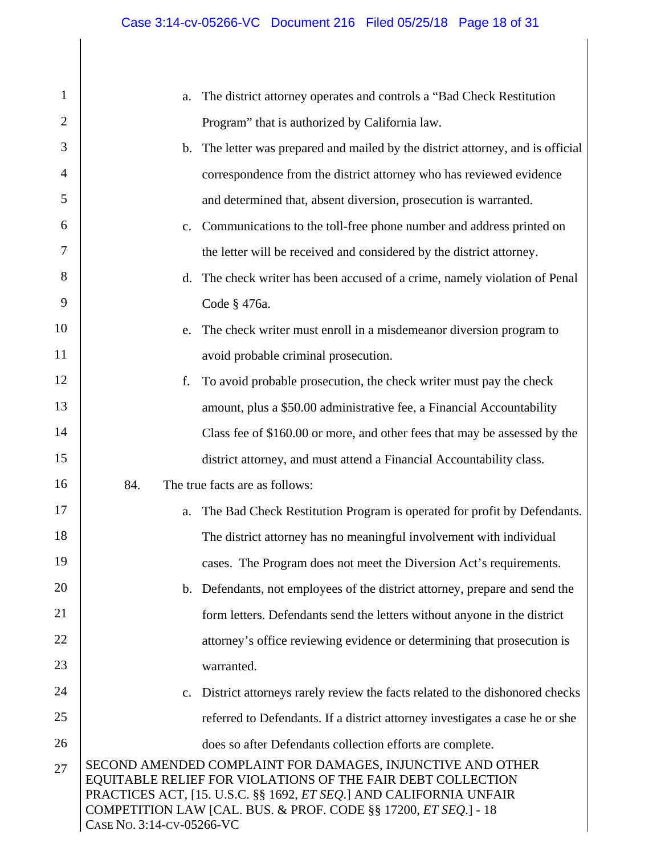| 1              | The district attorney operates and controls a "Bad Check Restitution"<br>a.                                                                                                                                                                                                                             |  |
|----------------|---------------------------------------------------------------------------------------------------------------------------------------------------------------------------------------------------------------------------------------------------------------------------------------------------------|--|
| 2              | Program" that is authorized by California law.                                                                                                                                                                                                                                                          |  |
| 3              | The letter was prepared and mailed by the district attorney, and is official<br>$\mathbf b$ .                                                                                                                                                                                                           |  |
| $\overline{4}$ | correspondence from the district attorney who has reviewed evidence                                                                                                                                                                                                                                     |  |
| 5              | and determined that, absent diversion, prosecution is warranted.                                                                                                                                                                                                                                        |  |
| 6              | Communications to the toll-free phone number and address printed on<br>$C_{\bullet}$                                                                                                                                                                                                                    |  |
| 7              | the letter will be received and considered by the district attorney.                                                                                                                                                                                                                                    |  |
| 8              | The check writer has been accused of a crime, namely violation of Penal<br>d.                                                                                                                                                                                                                           |  |
| 9              | Code § 476a.                                                                                                                                                                                                                                                                                            |  |
| 10             | The check writer must enroll in a misdemeanor diversion program to<br>e.                                                                                                                                                                                                                                |  |
| 11             | avoid probable criminal prosecution.                                                                                                                                                                                                                                                                    |  |
| 12             | f.<br>To avoid probable prosecution, the check writer must pay the check                                                                                                                                                                                                                                |  |
| 13             | amount, plus a \$50.00 administrative fee, a Financial Accountability                                                                                                                                                                                                                                   |  |
| 14             | Class fee of \$160.00 or more, and other fees that may be assessed by the                                                                                                                                                                                                                               |  |
| 15             | district attorney, and must attend a Financial Accountability class.                                                                                                                                                                                                                                    |  |
| 16             | 84.<br>The true facts are as follows:                                                                                                                                                                                                                                                                   |  |
| 17             | The Bad Check Restitution Program is operated for profit by Defendants.<br>a.                                                                                                                                                                                                                           |  |
| 18             | The district attorney has no meaningful involvement with individual                                                                                                                                                                                                                                     |  |
| 19             | cases. The Program does not meet the Diversion Act's requirements.                                                                                                                                                                                                                                      |  |
| 20             | Defendants, not employees of the district attorney, prepare and send the<br>$\mathbf{b}$ .                                                                                                                                                                                                              |  |
| 21             | form letters. Defendants send the letters without anyone in the district                                                                                                                                                                                                                                |  |
| 22             | attorney's office reviewing evidence or determining that prosecution is                                                                                                                                                                                                                                 |  |
| 23             | warranted.                                                                                                                                                                                                                                                                                              |  |
| 24             | District attorneys rarely review the facts related to the dishonored checks<br>$c_{\cdot}$                                                                                                                                                                                                              |  |
| 25             | referred to Defendants. If a district attorney investigates a case he or she                                                                                                                                                                                                                            |  |
| 26             | does so after Defendants collection efforts are complete.                                                                                                                                                                                                                                               |  |
| 27             | SECOND AMENDED COMPLAINT FOR DAMAGES, INJUNCTIVE AND OTHER<br>EQUITABLE RELIEF FOR VIOLATIONS OF THE FAIR DEBT COLLECTION<br>PRACTICES ACT, [15. U.S.C. §§ 1692, <i>ET SEQ</i> .] AND CALIFORNIA UNFAIR<br>COMPETITION LAW [CAL. BUS. & PROF. CODE §§ 17200, ET SEQ.] - 18<br>CASE No. 3:14-CV-05266-VC |  |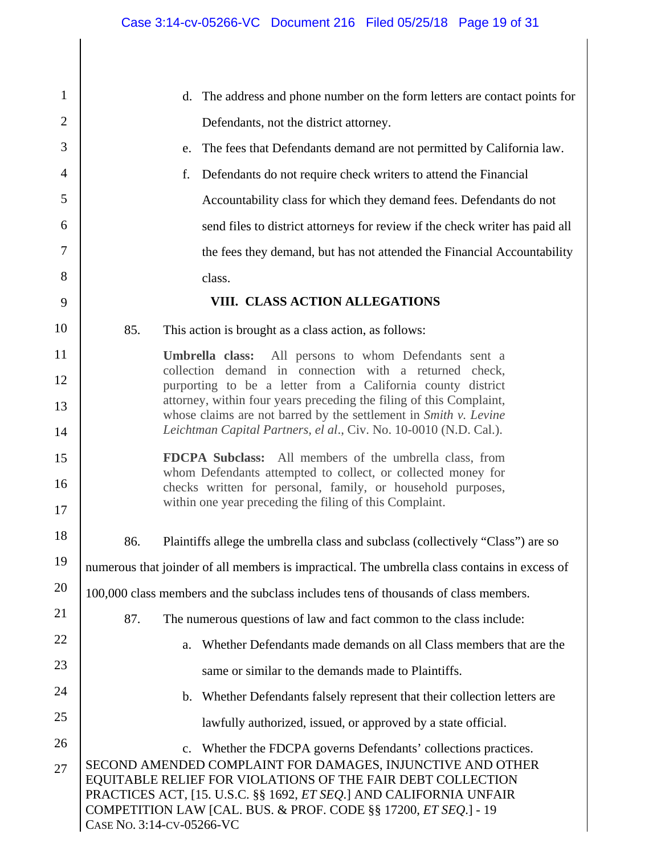| $\mathbf{1}$   | d. The address and phone number on the form letters are contact points for                                                                                                                                                                                                                              |  |
|----------------|---------------------------------------------------------------------------------------------------------------------------------------------------------------------------------------------------------------------------------------------------------------------------------------------------------|--|
| $\overline{2}$ | Defendants, not the district attorney.                                                                                                                                                                                                                                                                  |  |
| 3              | e. The fees that Defendants demand are not permitted by California law.                                                                                                                                                                                                                                 |  |
| 4              | f.<br>Defendants do not require check writers to attend the Financial                                                                                                                                                                                                                                   |  |
| 5              | Accountability class for which they demand fees. Defendants do not                                                                                                                                                                                                                                      |  |
| 6              | send files to district attorneys for review if the check writer has paid all                                                                                                                                                                                                                            |  |
| 7              | the fees they demand, but has not attended the Financial Accountability                                                                                                                                                                                                                                 |  |
| 8              | class.                                                                                                                                                                                                                                                                                                  |  |
| 9              | VIII. CLASS ACTION ALLEGATIONS                                                                                                                                                                                                                                                                          |  |
| 10             | 85.<br>This action is brought as a class action, as follows:                                                                                                                                                                                                                                            |  |
| 11             | Umbrella class:<br>All persons to whom Defendants sent a                                                                                                                                                                                                                                                |  |
| 12             | collection demand in connection with a returned check,<br>purporting to be a letter from a California county district                                                                                                                                                                                   |  |
| 13             | attorney, within four years preceding the filing of this Complaint,<br>whose claims are not barred by the settlement in Smith v. Levine                                                                                                                                                                 |  |
| 14             | Leichtman Capital Partners, el al., Civ. No. 10-0010 (N.D. Cal.).                                                                                                                                                                                                                                       |  |
| 15             | FDCPA Subclass: All members of the umbrella class, from                                                                                                                                                                                                                                                 |  |
| 16             | whom Defendants attempted to collect, or collected money for<br>checks written for personal, family, or household purposes,                                                                                                                                                                             |  |
| 17             | within one year preceding the filing of this Complaint.                                                                                                                                                                                                                                                 |  |
| 18             | 86.<br>Plaintiffs allege the umbrella class and subclass (collectively "Class") are so                                                                                                                                                                                                                  |  |
| 19             | numerous that joinder of all members is impractical. The umbrella class contains in excess of                                                                                                                                                                                                           |  |
| 20             | 100,000 class members and the subclass includes tens of thousands of class members.                                                                                                                                                                                                                     |  |
| 21             | 87.<br>The numerous questions of law and fact common to the class include:                                                                                                                                                                                                                              |  |
| 22             | Whether Defendants made demands on all Class members that are the<br>a.                                                                                                                                                                                                                                 |  |
| 23             | same or similar to the demands made to Plaintiffs.                                                                                                                                                                                                                                                      |  |
| 24             | b. Whether Defendants falsely represent that their collection letters are                                                                                                                                                                                                                               |  |
| 25             | lawfully authorized, issued, or approved by a state official.                                                                                                                                                                                                                                           |  |
| 26             | Whether the FDCPA governs Defendants' collections practices.<br>$\mathbf{c}$ .                                                                                                                                                                                                                          |  |
| 27             | SECOND AMENDED COMPLAINT FOR DAMAGES, INJUNCTIVE AND OTHER<br>EQUITABLE RELIEF FOR VIOLATIONS OF THE FAIR DEBT COLLECTION<br>PRACTICES ACT, [15. U.S.C. §§ 1692, <i>ET SEQ</i> .] AND CALIFORNIA UNFAIR<br>COMPETITION LAW [CAL. BUS. & PROF. CODE §§ 17200, ET SEQ.] - 19<br>CASE No. 3:14-CV-05266-VC |  |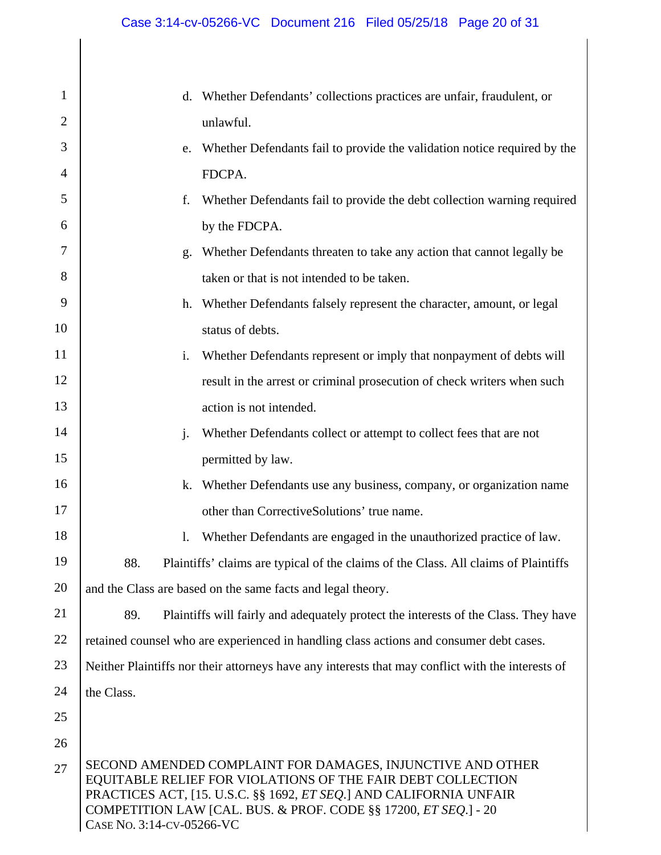| $\mathbf{1}$   | Whether Defendants' collections practices are unfair, fraudulent, or<br>d.                                                                                                                                                                                                                      |  |
|----------------|-------------------------------------------------------------------------------------------------------------------------------------------------------------------------------------------------------------------------------------------------------------------------------------------------|--|
| $\overline{2}$ | unlawful.                                                                                                                                                                                                                                                                                       |  |
| 3              | Whether Defendants fail to provide the validation notice required by the<br>e.                                                                                                                                                                                                                  |  |
| $\overline{4}$ | FDCPA.                                                                                                                                                                                                                                                                                          |  |
| 5              | Whether Defendants fail to provide the debt collection warning required<br>f.                                                                                                                                                                                                                   |  |
| 6              | by the FDCPA.                                                                                                                                                                                                                                                                                   |  |
| 7              | Whether Defendants threaten to take any action that cannot legally be<br>g.                                                                                                                                                                                                                     |  |
| 8              | taken or that is not intended to be taken.                                                                                                                                                                                                                                                      |  |
| 9              | Whether Defendants falsely represent the character, amount, or legal<br>h.                                                                                                                                                                                                                      |  |
| 10             | status of debts.                                                                                                                                                                                                                                                                                |  |
| 11             | i.<br>Whether Defendants represent or imply that nonpayment of debts will                                                                                                                                                                                                                       |  |
| 12             | result in the arrest or criminal prosecution of check writers when such                                                                                                                                                                                                                         |  |
| 13             | action is not intended.                                                                                                                                                                                                                                                                         |  |
| 14             | $\mathbf{j}$ .<br>Whether Defendants collect or attempt to collect fees that are not                                                                                                                                                                                                            |  |
| 15             | permitted by law.                                                                                                                                                                                                                                                                               |  |
| 16             | Whether Defendants use any business, company, or organization name<br>k.                                                                                                                                                                                                                        |  |
| 17             | other than CorrectiveSolutions' true name.                                                                                                                                                                                                                                                      |  |
| 18             | Whether Defendants are engaged in the unauthorized practice of law.<br>1.                                                                                                                                                                                                                       |  |
| 19             | 88.<br>Plaintiffs' claims are typical of the claims of the Class. All claims of Plaintiffs                                                                                                                                                                                                      |  |
| 20             | and the Class are based on the same facts and legal theory.                                                                                                                                                                                                                                     |  |
| 21             | Plaintiffs will fairly and adequately protect the interests of the Class. They have<br>89.                                                                                                                                                                                                      |  |
| 22             | retained counsel who are experienced in handling class actions and consumer debt cases.                                                                                                                                                                                                         |  |
| 23             | Neither Plaintiffs nor their attorneys have any interests that may conflict with the interests of                                                                                                                                                                                               |  |
| 24             | the Class.                                                                                                                                                                                                                                                                                      |  |
| 25             |                                                                                                                                                                                                                                                                                                 |  |
| 26             |                                                                                                                                                                                                                                                                                                 |  |
| 27             | SECOND AMENDED COMPLAINT FOR DAMAGES, INJUNCTIVE AND OTHER<br>EQUITABLE RELIEF FOR VIOLATIONS OF THE FAIR DEBT COLLECTION<br>PRACTICES ACT, [15. U.S.C. §§ 1692, ET SEQ.] AND CALIFORNIA UNFAIR<br>COMPETITION LAW [CAL. BUS. & PROF. CODE §§ 17200, ET SEQ.] - 20<br>CASE No. 3:14-CV-05266-VC |  |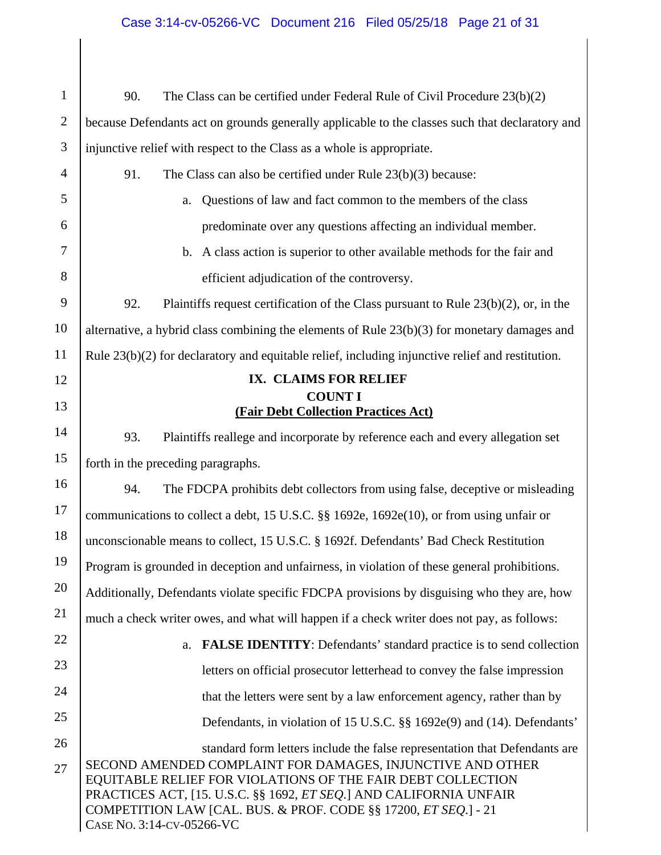# Case 3:14-cv-05266-VC Document 216 Filed 05/25/18 Page 21 of 31

| $\mathbf{1}$   | The Class can be certified under Federal Rule of Civil Procedure 23(b)(2)<br>90.                                                                                                                                                                                                                                                                                                      |  |
|----------------|---------------------------------------------------------------------------------------------------------------------------------------------------------------------------------------------------------------------------------------------------------------------------------------------------------------------------------------------------------------------------------------|--|
| $\overline{2}$ | because Defendants act on grounds generally applicable to the classes such that declaratory and                                                                                                                                                                                                                                                                                       |  |
| 3              | injunctive relief with respect to the Class as a whole is appropriate.                                                                                                                                                                                                                                                                                                                |  |
| 4              | 91.<br>The Class can also be certified under Rule $23(b)(3)$ because:                                                                                                                                                                                                                                                                                                                 |  |
| 5              | Questions of law and fact common to the members of the class<br>a.                                                                                                                                                                                                                                                                                                                    |  |
| 6              | predominate over any questions affecting an individual member.                                                                                                                                                                                                                                                                                                                        |  |
| 7              | A class action is superior to other available methods for the fair and<br>b.                                                                                                                                                                                                                                                                                                          |  |
| 8              | efficient adjudication of the controversy.                                                                                                                                                                                                                                                                                                                                            |  |
| 9              | 92.<br>Plaintiffs request certification of the Class pursuant to Rule $23(b)(2)$ , or, in the                                                                                                                                                                                                                                                                                         |  |
| 10             | alternative, a hybrid class combining the elements of Rule 23(b)(3) for monetary damages and                                                                                                                                                                                                                                                                                          |  |
| 11             | Rule $23(b)(2)$ for declaratory and equitable relief, including injunctive relief and restitution.                                                                                                                                                                                                                                                                                    |  |
| 12             | IX. CLAIMS FOR RELIEF                                                                                                                                                                                                                                                                                                                                                                 |  |
| 13             | <b>COUNT I</b><br>(Fair Debt Collection Practices Act)                                                                                                                                                                                                                                                                                                                                |  |
| 14             | 93.<br>Plaintiffs reallege and incorporate by reference each and every allegation set                                                                                                                                                                                                                                                                                                 |  |
| 15             | forth in the preceding paragraphs.                                                                                                                                                                                                                                                                                                                                                    |  |
| 16             | 94.<br>The FDCPA prohibits debt collectors from using false, deceptive or misleading                                                                                                                                                                                                                                                                                                  |  |
| 17             | communications to collect a debt, 15 U.S.C. §§ 1692e, 1692e(10), or from using unfair or                                                                                                                                                                                                                                                                                              |  |
| 18             | unconscionable means to collect, 15 U.S.C. § 1692f. Defendants' Bad Check Restitution                                                                                                                                                                                                                                                                                                 |  |
| 19             | Program is grounded in deception and unfairness, in violation of these general prohibitions.                                                                                                                                                                                                                                                                                          |  |
| 20             | Additionally, Defendants violate specific FDCPA provisions by disguising who they are, how                                                                                                                                                                                                                                                                                            |  |
| 21             | much a check writer owes, and what will happen if a check writer does not pay, as follows:                                                                                                                                                                                                                                                                                            |  |
| 22             | <b>FALSE IDENTITY:</b> Defendants' standard practice is to send collection<br>a.                                                                                                                                                                                                                                                                                                      |  |
| 23             | letters on official prosecutor letterhead to convey the false impression                                                                                                                                                                                                                                                                                                              |  |
| 24             | that the letters were sent by a law enforcement agency, rather than by                                                                                                                                                                                                                                                                                                                |  |
| 25             | Defendants, in violation of 15 U.S.C. §§ 1692e(9) and (14). Defendants'                                                                                                                                                                                                                                                                                                               |  |
| 26<br>27       | standard form letters include the false representation that Defendants are<br>SECOND AMENDED COMPLAINT FOR DAMAGES, INJUNCTIVE AND OTHER<br>EQUITABLE RELIEF FOR VIOLATIONS OF THE FAIR DEBT COLLECTION<br>PRACTICES ACT, [15. U.S.C. §§ 1692, <i>ET SEQ</i> .] AND CALIFORNIA UNFAIR<br>COMPETITION LAW [CAL. BUS. & PROF. CODE §§ 17200, ET SEQ.] - 21<br>CASE No. 3:14-CV-05266-VC |  |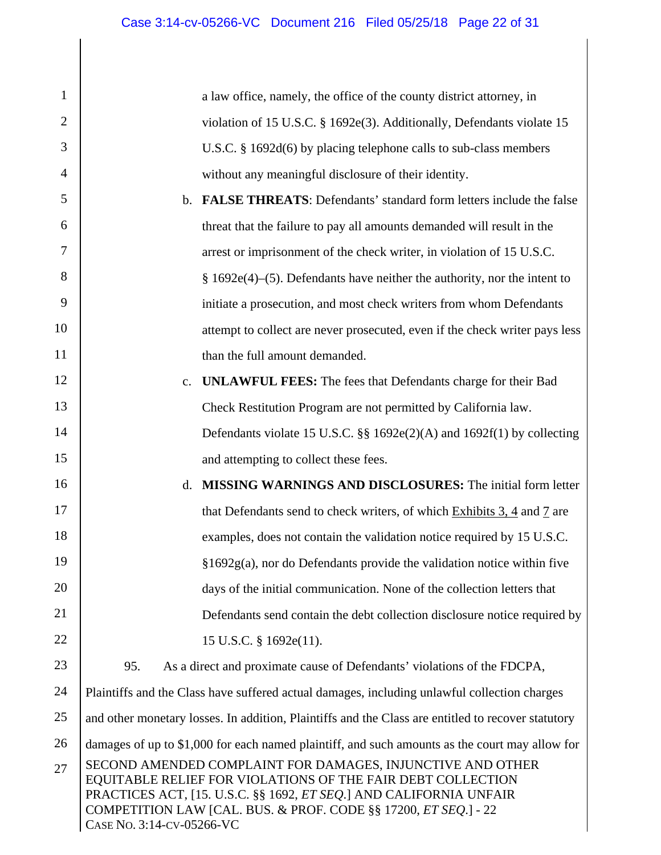| $\mathbf{1}$   |                                                                                                                                                                                                                                                                                                         | a law office, namely, the office of the county district attorney, in                         |
|----------------|---------------------------------------------------------------------------------------------------------------------------------------------------------------------------------------------------------------------------------------------------------------------------------------------------------|----------------------------------------------------------------------------------------------|
| $\overline{2}$ |                                                                                                                                                                                                                                                                                                         | violation of 15 U.S.C. § 1692e(3). Additionally, Defendants violate 15                       |
| 3              |                                                                                                                                                                                                                                                                                                         | U.S.C. $\S$ 1692d(6) by placing telephone calls to sub-class members                         |
| $\overline{4}$ |                                                                                                                                                                                                                                                                                                         | without any meaningful disclosure of their identity.                                         |
| 5              | $\mathbf{b}$ .                                                                                                                                                                                                                                                                                          | <b>FALSE THREATS:</b> Defendants' standard form letters include the false                    |
| 6              |                                                                                                                                                                                                                                                                                                         | threat that the failure to pay all amounts demanded will result in the                       |
| 7              |                                                                                                                                                                                                                                                                                                         | arrest or imprisonment of the check writer, in violation of 15 U.S.C.                        |
| 8              |                                                                                                                                                                                                                                                                                                         | $§$ 1692e(4)–(5). Defendants have neither the authority, nor the intent to                   |
| 9              |                                                                                                                                                                                                                                                                                                         | initiate a prosecution, and most check writers from whom Defendants                          |
| 10             |                                                                                                                                                                                                                                                                                                         | attempt to collect are never prosecuted, even if the check writer pays less                  |
| 11             |                                                                                                                                                                                                                                                                                                         | than the full amount demanded.                                                               |
| 12             | c.                                                                                                                                                                                                                                                                                                      | <b>UNLAWFUL FEES:</b> The fees that Defendants charge for their Bad                          |
| 13             |                                                                                                                                                                                                                                                                                                         | Check Restitution Program are not permitted by California law.                               |
| 14             |                                                                                                                                                                                                                                                                                                         | Defendants violate 15 U.S.C. §§ 1692e(2)(A) and 1692f(1) by collecting                       |
| 15             |                                                                                                                                                                                                                                                                                                         | and attempting to collect these fees.                                                        |
| 16             | d.                                                                                                                                                                                                                                                                                                      | <b>MISSING WARNINGS AND DISCLOSURES:</b> The initial form letter                             |
| 17             |                                                                                                                                                                                                                                                                                                         | that Defendants send to check writers, of which Exhibits 3, 4 and 7 are                      |
| 18             |                                                                                                                                                                                                                                                                                                         | examples, does not contain the validation notice required by 15 U.S.C.                       |
| 19             |                                                                                                                                                                                                                                                                                                         | $§1692g(a)$ , nor do Defendants provide the validation notice within five                    |
| 20             |                                                                                                                                                                                                                                                                                                         | days of the initial communication. None of the collection letters that                       |
| 21             |                                                                                                                                                                                                                                                                                                         | Defendants send contain the debt collection disclosure notice required by                    |
| 22             |                                                                                                                                                                                                                                                                                                         | 15 U.S.C. § 1692e(11).                                                                       |
| 23             | 95.                                                                                                                                                                                                                                                                                                     | As a direct and proximate cause of Defendants' violations of the FDCPA,                      |
| 24             |                                                                                                                                                                                                                                                                                                         | Plaintiffs and the Class have suffered actual damages, including unlawful collection charges |
| 25             | and other monetary losses. In addition, Plaintiffs and the Class are entitled to recover statutory                                                                                                                                                                                                      |                                                                                              |
| 26             | damages of up to \$1,000 for each named plaintiff, and such amounts as the court may allow for                                                                                                                                                                                                          |                                                                                              |
| 27             | SECOND AMENDED COMPLAINT FOR DAMAGES, INJUNCTIVE AND OTHER<br>EQUITABLE RELIEF FOR VIOLATIONS OF THE FAIR DEBT COLLECTION<br>PRACTICES ACT, [15. U.S.C. §§ 1692, <i>ET SEQ</i> .] AND CALIFORNIA UNFAIR<br>COMPETITION LAW [CAL. BUS. & PROF. CODE §§ 17200, ET SEQ.] - 22<br>CASE No. 3:14-CV-05266-VC |                                                                                              |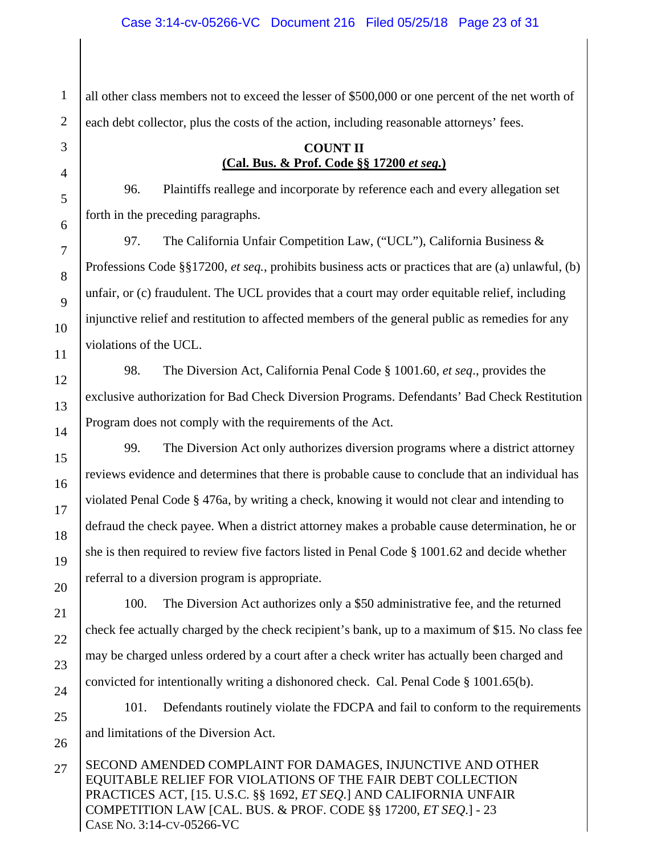all other class members not to exceed the lesser of \$500,000 or one percent of the net worth of each debt collector, plus the costs of the action, including reasonable attorneys' fees.

### **COUNT II (Cal. Bus. & Prof. Code §§ 17200** *et seq.***)**

96. Plaintiffs reallege and incorporate by reference each and every allegation set forth in the preceding paragraphs.

97. The California Unfair Competition Law, ("UCL"), California Business & Professions Code §§17200, *et seq.*, prohibits business acts or practices that are (a) unlawful, (b) unfair, or (c) fraudulent. The UCL provides that a court may order equitable relief, including injunctive relief and restitution to affected members of the general public as remedies for any violations of the UCL.

98. The Diversion Act, California Penal Code § 1001.60, *et seq*., provides the exclusive authorization for Bad Check Diversion Programs. Defendants' Bad Check Restitution Program does not comply with the requirements of the Act.

99. The Diversion Act only authorizes diversion programs where a district attorney reviews evidence and determines that there is probable cause to conclude that an individual has violated Penal Code § 476a, by writing a check, knowing it would not clear and intending to defraud the check payee. When a district attorney makes a probable cause determination, he or she is then required to review five factors listed in Penal Code § 1001.62 and decide whether referral to a diversion program is appropriate.

100. The Diversion Act authorizes only a \$50 administrative fee, and the returned check fee actually charged by the check recipient's bank, up to a maximum of \$15. No class fee may be charged unless ordered by a court after a check writer has actually been charged and convicted for intentionally writing a dishonored check. Cal. Penal Code § 1001.65(b).

101. Defendants routinely violate the FDCPA and fail to conform to the requirements and limitations of the Diversion Act.

SECOND AMENDED COMPLAINT FOR DAMAGES, INJUNCTIVE AND OTHER EQUITABLE RELIEF FOR VIOLATIONS OF THE FAIR DEBT COLLECTION PRACTICES ACT, [15. U.S.C. §§ 1692, *ET SEQ*.] AND CALIFORNIA UNFAIR COMPETITION LAW [CAL. BUS. & PROF. CODE §§ 17200, *ET SEQ*.] - 23 CASE NO. 3:14-CV-05266-VC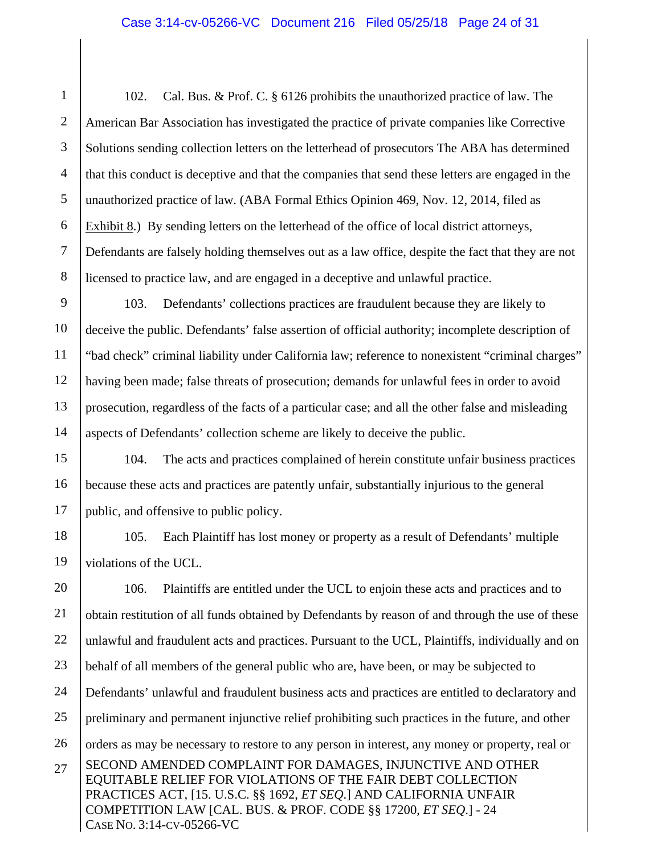1 2 3 4 5 6 7 8 102. Cal. Bus. & Prof. C. § 6126 prohibits the unauthorized practice of law. The American Bar Association has investigated the practice of private companies like Corrective Solutions sending collection letters on the letterhead of prosecutors The ABA has determined that this conduct is deceptive and that the companies that send these letters are engaged in the unauthorized practice of law. (ABA Formal Ethics Opinion 469, Nov. 12, 2014, filed as Exhibit 8.) By sending letters on the letterhead of the office of local district attorneys, Defendants are falsely holding themselves out as a law office, despite the fact that they are not licensed to practice law, and are engaged in a deceptive and unlawful practice.

9 10 11 12 13 14 103. Defendants' collections practices are fraudulent because they are likely to deceive the public. Defendants' false assertion of official authority; incomplete description of "bad check" criminal liability under California law; reference to nonexistent "criminal charges" having been made; false threats of prosecution; demands for unlawful fees in order to avoid prosecution, regardless of the facts of a particular case; and all the other false and misleading aspects of Defendants' collection scheme are likely to deceive the public.

15 16 17 104. The acts and practices complained of herein constitute unfair business practices because these acts and practices are patently unfair, substantially injurious to the general public, and offensive to public policy.

18 19 105. Each Plaintiff has lost money or property as a result of Defendants' multiple violations of the UCL.

SECOND AMENDED COMPLAINT FOR DAMAGES, INJUNCTIVE AND OTHER EQUITABLE RELIEF FOR VIOLATIONS OF THE FAIR DEBT COLLECTION PRACTICES ACT, [15. U.S.C. §§ 1692, *ET SEQ*.] AND CALIFORNIA UNFAIR COMPETITION LAW [CAL. BUS. & PROF. CODE §§ 17200, *ET SEQ*.] - 24 CASE NO. 3:14-CV-05266-VC 20 21 22 23 24 25 26 27 106. Plaintiffs are entitled under the UCL to enjoin these acts and practices and to obtain restitution of all funds obtained by Defendants by reason of and through the use of these unlawful and fraudulent acts and practices. Pursuant to the UCL, Plaintiffs, individually and on behalf of all members of the general public who are, have been, or may be subjected to Defendants' unlawful and fraudulent business acts and practices are entitled to declaratory and preliminary and permanent injunctive relief prohibiting such practices in the future, and other orders as may be necessary to restore to any person in interest, any money or property, real or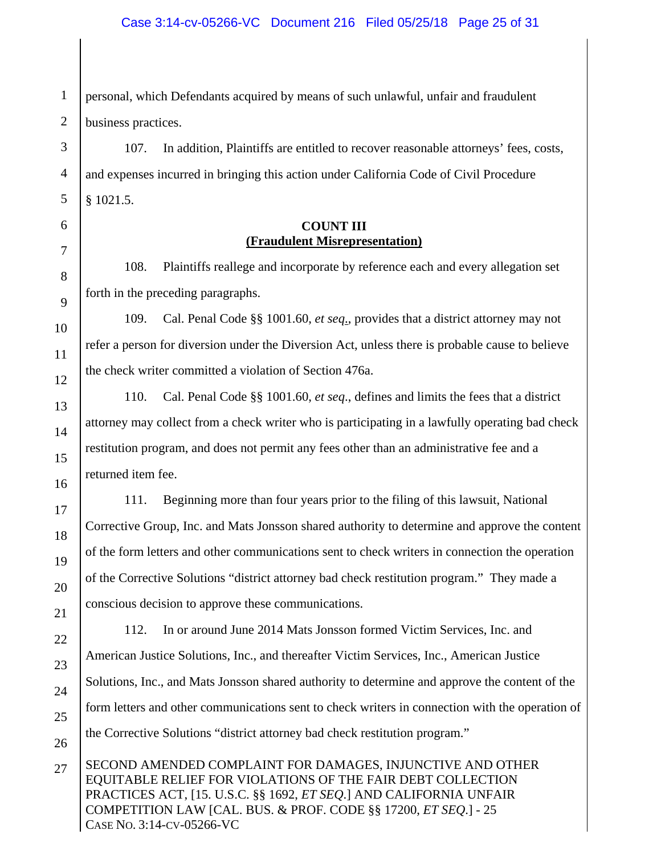#### Case 3:14-cv-05266-VC Document 216 Filed 05/25/18 Page 25 of 31

1 personal, which Defendants acquired by means of such unlawful, unfair and fraudulent business practices.

107. In addition, Plaintiffs are entitled to recover reasonable attorneys' fees, costs, and expenses incurred in bringing this action under California Code of Civil Procedure § 1021.5.

#### **COUNT III (Fraudulent Misrepresentation)**

108. Plaintiffs reallege and incorporate by reference each and every allegation set forth in the preceding paragraphs.

109. Cal. Penal Code §§ 1001.60, *et seq*., provides that a district attorney may not refer a person for diversion under the Diversion Act, unless there is probable cause to believe the check writer committed a violation of Section 476a.

110. Cal. Penal Code §§ 1001.60, *et seq*., defines and limits the fees that a district attorney may collect from a check writer who is participating in a lawfully operating bad check restitution program, and does not permit any fees other than an administrative fee and a returned item fee.

111. Beginning more than four years prior to the filing of this lawsuit, National Corrective Group, Inc. and Mats Jonsson shared authority to determine and approve the content of the form letters and other communications sent to check writers in connection the operation of the Corrective Solutions "district attorney bad check restitution program." They made a conscious decision to approve these communications.

112. In or around June 2014 Mats Jonsson formed Victim Services, Inc. and American Justice Solutions, Inc., and thereafter Victim Services, Inc., American Justice Solutions, Inc., and Mats Jonsson shared authority to determine and approve the content of the form letters and other communications sent to check writers in connection with the operation of the Corrective Solutions "district attorney bad check restitution program."

SECOND AMENDED COMPLAINT FOR DAMAGES, INJUNCTIVE AND OTHER EQUITABLE RELIEF FOR VIOLATIONS OF THE FAIR DEBT COLLECTION PRACTICES ACT, [15. U.S.C. §§ 1692, *ET SEQ*.] AND CALIFORNIA UNFAIR COMPETITION LAW [CAL. BUS. & PROF. CODE §§ 17200, *ET SEQ*.] - 25 CASE NO. 3:14-CV-05266-VC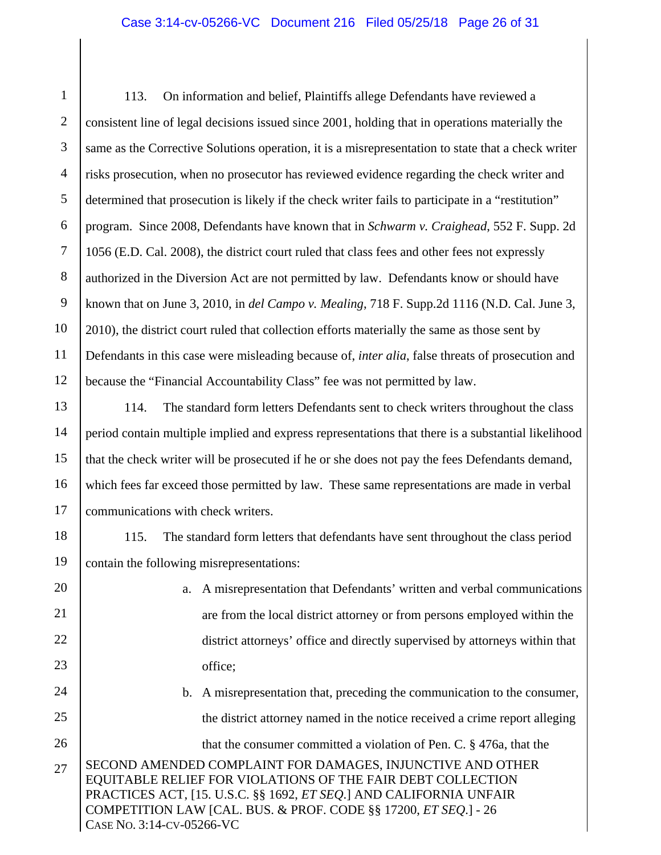#### Case 3:14-cv-05266-VC Document 216 Filed 05/25/18 Page 26 of 31

1 2 3 4 5 6 7 8 9 10 11 12 113. On information and belief, Plaintiffs allege Defendants have reviewed a consistent line of legal decisions issued since 2001, holding that in operations materially the same as the Corrective Solutions operation, it is a misrepresentation to state that a check writer risks prosecution, when no prosecutor has reviewed evidence regarding the check writer and determined that prosecution is likely if the check writer fails to participate in a "restitution" program. Since 2008, Defendants have known that in *Schwarm v. Craighead*, 552 F. Supp. 2d 1056 (E.D. Cal. 2008), the district court ruled that class fees and other fees not expressly authorized in the Diversion Act are not permitted by law. Defendants know or should have known that on June 3, 2010, in *del Campo v. Mealing*, 718 F. Supp.2d 1116 (N.D. Cal. June 3, 2010), the district court ruled that collection efforts materially the same as those sent by Defendants in this case were misleading because of, *inter alia*, false threats of prosecution and because the "Financial Accountability Class" fee was not permitted by law.

13 14 15 16 17 114. The standard form letters Defendants sent to check writers throughout the class period contain multiple implied and express representations that there is a substantial likelihood that the check writer will be prosecuted if he or she does not pay the fees Defendants demand, which fees far exceed those permitted by law. These same representations are made in verbal communications with check writers.

18 19 115. The standard form letters that defendants have sent throughout the class period contain the following misrepresentations:

20

21

22

23

- a. A misrepresentation that Defendants' written and verbal communications are from the local district attorney or from persons employed within the district attorneys' office and directly supervised by attorneys within that office;
- SECOND AMENDED COMPLAINT FOR DAMAGES, INJUNCTIVE AND OTHER EQUITABLE RELIEF FOR VIOLATIONS OF THE FAIR DEBT COLLECTION 24 25 26 27 b. A misrepresentation that, preceding the communication to the consumer, the district attorney named in the notice received a crime report alleging that the consumer committed a violation of Pen. C. § 476a, that the
- PRACTICES ACT, [15. U.S.C. §§ 1692, *ET SEQ*.] AND CALIFORNIA UNFAIR COMPETITION LAW [CAL. BUS. & PROF. CODE §§ 17200, *ET SEQ*.] - 26 CASE NO. 3:14-CV-05266-VC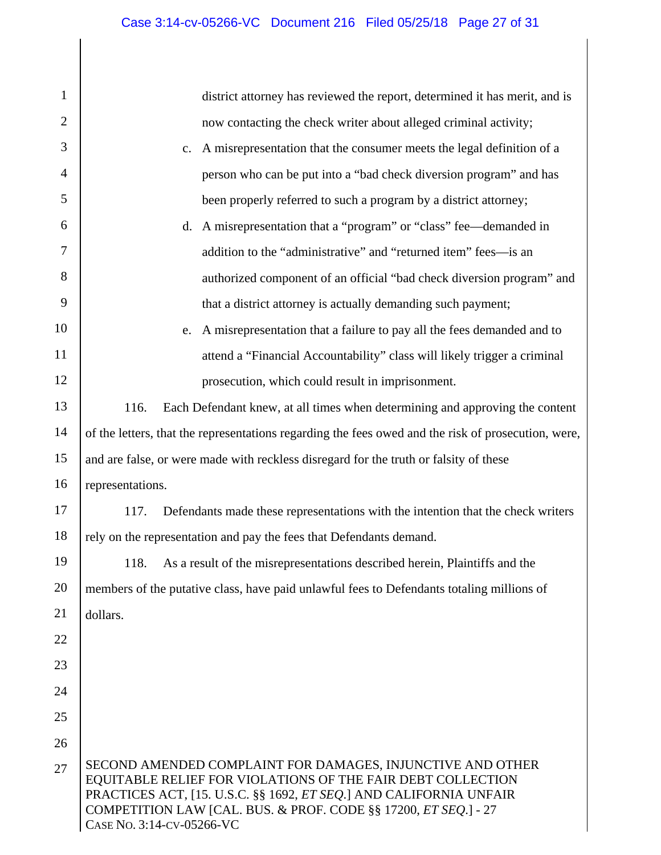| 1              | district attorney has reviewed the report, determined it has merit, and is                                                                                                                                                                                                                              |  |  |
|----------------|---------------------------------------------------------------------------------------------------------------------------------------------------------------------------------------------------------------------------------------------------------------------------------------------------------|--|--|
| $\overline{2}$ | now contacting the check writer about alleged criminal activity;                                                                                                                                                                                                                                        |  |  |
| 3              | A misrepresentation that the consumer meets the legal definition of a<br>$\mathbf{c}$ .                                                                                                                                                                                                                 |  |  |
| $\overline{4}$ | person who can be put into a "bad check diversion program" and has                                                                                                                                                                                                                                      |  |  |
| 5              | been properly referred to such a program by a district attorney;                                                                                                                                                                                                                                        |  |  |
| 6              | d. A misrepresentation that a "program" or "class" fee—demanded in                                                                                                                                                                                                                                      |  |  |
| 7              | addition to the "administrative" and "returned item" fees—is an                                                                                                                                                                                                                                         |  |  |
| 8              | authorized component of an official "bad check diversion program" and                                                                                                                                                                                                                                   |  |  |
| 9              | that a district attorney is actually demanding such payment;                                                                                                                                                                                                                                            |  |  |
| 10             | A misrepresentation that a failure to pay all the fees demanded and to<br>e.                                                                                                                                                                                                                            |  |  |
| 11             | attend a "Financial Accountability" class will likely trigger a criminal                                                                                                                                                                                                                                |  |  |
| 12             | prosecution, which could result in imprisonment.                                                                                                                                                                                                                                                        |  |  |
| 13             | Each Defendant knew, at all times when determining and approving the content<br>116.                                                                                                                                                                                                                    |  |  |
| 14             | of the letters, that the representations regarding the fees owed and the risk of prosecution, were,                                                                                                                                                                                                     |  |  |
| 15             | and are false, or were made with reckless disregard for the truth or falsity of these                                                                                                                                                                                                                   |  |  |
| 16             | representations.                                                                                                                                                                                                                                                                                        |  |  |
| 17             | 117.<br>Defendants made these representations with the intention that the check writers                                                                                                                                                                                                                 |  |  |
| 18             | rely on the representation and pay the fees that Defendants demand.                                                                                                                                                                                                                                     |  |  |
| 19             | As a result of the misrepresentations described herein, Plaintiffs and the<br>118.                                                                                                                                                                                                                      |  |  |
| 20             | members of the putative class, have paid unlawful fees to Defendants totaling millions of                                                                                                                                                                                                               |  |  |
| 21             | dollars.                                                                                                                                                                                                                                                                                                |  |  |
| 22             |                                                                                                                                                                                                                                                                                                         |  |  |
| 23             |                                                                                                                                                                                                                                                                                                         |  |  |
| 24             |                                                                                                                                                                                                                                                                                                         |  |  |
| 25             |                                                                                                                                                                                                                                                                                                         |  |  |
| 26             |                                                                                                                                                                                                                                                                                                         |  |  |
| 27             | SECOND AMENDED COMPLAINT FOR DAMAGES, INJUNCTIVE AND OTHER<br>EQUITABLE RELIEF FOR VIOLATIONS OF THE FAIR DEBT COLLECTION<br>PRACTICES ACT, [15. U.S.C. §§ 1692, <i>ET SEQ.</i> ] AND CALIFORNIA UNFAIR<br>COMPETITION LAW [CAL. BUS. & PROF. CODE §§ 17200, ET SEQ.] - 27<br>CASE No. 3:14-CV-05266-VC |  |  |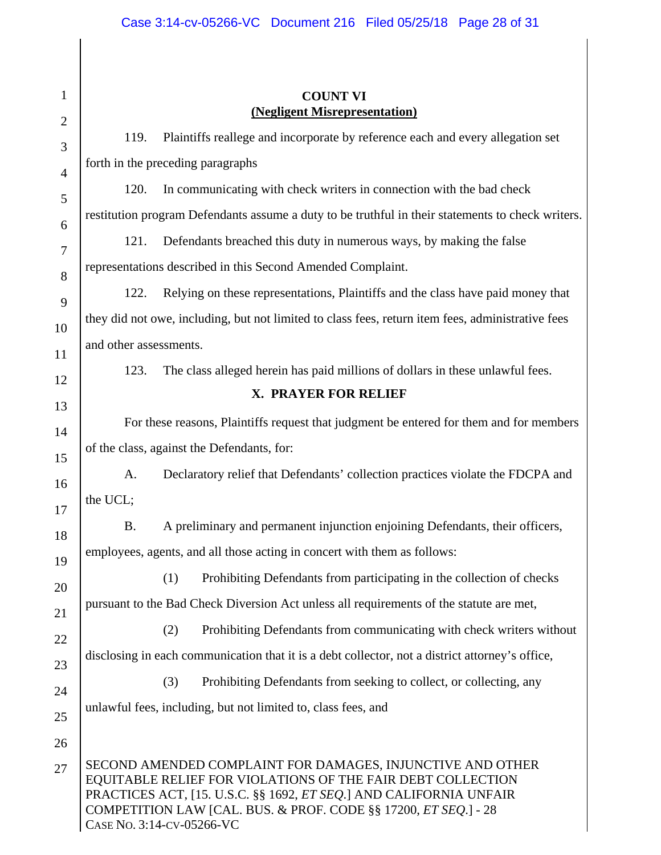## Case 3:14-cv-05266-VC Document 216 Filed 05/25/18 Page 28 of 31

|                        | <b>COUNT VI</b><br>(Negligent Misrepresentation)                                                                                                                                                                                                                                                        |
|------------------------|---------------------------------------------------------------------------------------------------------------------------------------------------------------------------------------------------------------------------------------------------------------------------------------------------------|
| 119.                   | Plaintiffs reallege and incorporate by reference each and every allegation set                                                                                                                                                                                                                          |
|                        | forth in the preceding paragraphs                                                                                                                                                                                                                                                                       |
| 120.                   | In communicating with check writers in connection with the bad check                                                                                                                                                                                                                                    |
|                        | restitution program Defendants assume a duty to be truthful in their statements to check writers.                                                                                                                                                                                                       |
| 121.                   | Defendants breached this duty in numerous ways, by making the false                                                                                                                                                                                                                                     |
|                        | representations described in this Second Amended Complaint.                                                                                                                                                                                                                                             |
| 122.                   | Relying on these representations, Plaintiffs and the class have paid money that                                                                                                                                                                                                                         |
|                        | they did not owe, including, but not limited to class fees, return item fees, administrative fees                                                                                                                                                                                                       |
| and other assessments. |                                                                                                                                                                                                                                                                                                         |
| 123.                   | The class alleged herein has paid millions of dollars in these unlawful fees.                                                                                                                                                                                                                           |
|                        | X. PRAYER FOR RELIEF                                                                                                                                                                                                                                                                                    |
|                        | For these reasons, Plaintiffs request that judgment be entered for them and for members                                                                                                                                                                                                                 |
|                        | of the class, against the Defendants, for:                                                                                                                                                                                                                                                              |
| A.                     | Declaratory relief that Defendants' collection practices violate the FDCPA and                                                                                                                                                                                                                          |
| the UCL;               |                                                                                                                                                                                                                                                                                                         |
| <b>B.</b>              | A preliminary and permanent injunction enjoining Defendants, their officers,                                                                                                                                                                                                                            |
|                        | employees, agents, and all those acting in concert with them as follows:                                                                                                                                                                                                                                |
|                        | Prohibiting Defendants from participating in the collection of checks<br>(1)                                                                                                                                                                                                                            |
|                        | pursuant to the Bad Check Diversion Act unless all requirements of the statute are met,                                                                                                                                                                                                                 |
|                        | Prohibiting Defendants from communicating with check writers without<br>(2)                                                                                                                                                                                                                             |
|                        | disclosing in each communication that it is a debt collector, not a district attorney's office,                                                                                                                                                                                                         |
|                        | (3)<br>Prohibiting Defendants from seeking to collect, or collecting, any                                                                                                                                                                                                                               |
|                        | unlawful fees, including, but not limited to, class fees, and                                                                                                                                                                                                                                           |
|                        |                                                                                                                                                                                                                                                                                                         |
|                        | SECOND AMENDED COMPLAINT FOR DAMAGES, INJUNCTIVE AND OTHER<br>EQUITABLE RELIEF FOR VIOLATIONS OF THE FAIR DEBT COLLECTION<br>PRACTICES ACT, [15. U.S.C. §§ 1692, <i>ET SEQ</i> .] AND CALIFORNIA UNFAIR<br>COMPETITION LAW [CAL. BUS. & PROF. CODE §§ 17200, ET SEQ.] - 28<br>CASE No. 3:14-CV-05266-VC |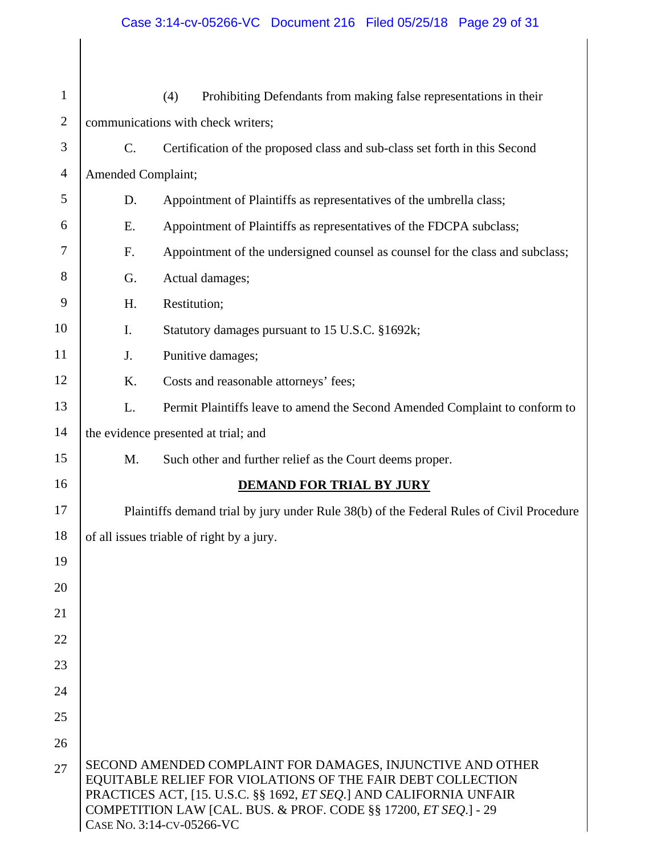## Case 3:14-cv-05266-VC Document 216 Filed 05/25/18 Page 29 of 31

| $\mathbf{1}$   |                                                                                          | (4)<br>Prohibiting Defendants from making false representations in their                                                                                                                                                                                                                        |  |
|----------------|------------------------------------------------------------------------------------------|-------------------------------------------------------------------------------------------------------------------------------------------------------------------------------------------------------------------------------------------------------------------------------------------------|--|
| $\overline{2}$ | communications with check writers;                                                       |                                                                                                                                                                                                                                                                                                 |  |
| 3              | $\mathcal{C}$ .                                                                          | Certification of the proposed class and sub-class set forth in this Second                                                                                                                                                                                                                      |  |
| $\overline{4}$ | Amended Complaint;                                                                       |                                                                                                                                                                                                                                                                                                 |  |
| 5              | D.                                                                                       | Appointment of Plaintiffs as representatives of the umbrella class;                                                                                                                                                                                                                             |  |
| 6              | Ε.                                                                                       | Appointment of Plaintiffs as representatives of the FDCPA subclass;                                                                                                                                                                                                                             |  |
| 7              | F.                                                                                       | Appointment of the undersigned counsel as counsel for the class and subclass;                                                                                                                                                                                                                   |  |
| 8              | G.                                                                                       | Actual damages;                                                                                                                                                                                                                                                                                 |  |
| 9              | H.                                                                                       | Restitution;                                                                                                                                                                                                                                                                                    |  |
| 10             | I.                                                                                       | Statutory damages pursuant to 15 U.S.C. §1692k;                                                                                                                                                                                                                                                 |  |
| 11             | J.                                                                                       | Punitive damages;                                                                                                                                                                                                                                                                               |  |
| 12             | K.                                                                                       | Costs and reasonable attorneys' fees;                                                                                                                                                                                                                                                           |  |
| 13             | L.                                                                                       | Permit Plaintiffs leave to amend the Second Amended Complaint to conform to                                                                                                                                                                                                                     |  |
| 14             | the evidence presented at trial; and                                                     |                                                                                                                                                                                                                                                                                                 |  |
| 15             | M.                                                                                       | Such other and further relief as the Court deems proper.                                                                                                                                                                                                                                        |  |
| 16             |                                                                                          | <b>DEMAND FOR TRIAL BY JURY</b>                                                                                                                                                                                                                                                                 |  |
| 17             | Plaintiffs demand trial by jury under Rule 38(b) of the Federal Rules of Civil Procedure |                                                                                                                                                                                                                                                                                                 |  |
| 18             |                                                                                          | of all issues triable of right by a jury.                                                                                                                                                                                                                                                       |  |
| 19             |                                                                                          |                                                                                                                                                                                                                                                                                                 |  |
| 20             |                                                                                          |                                                                                                                                                                                                                                                                                                 |  |
| 21             |                                                                                          |                                                                                                                                                                                                                                                                                                 |  |
| 22             |                                                                                          |                                                                                                                                                                                                                                                                                                 |  |
| 23             |                                                                                          |                                                                                                                                                                                                                                                                                                 |  |
| 24             |                                                                                          |                                                                                                                                                                                                                                                                                                 |  |
| 25             |                                                                                          |                                                                                                                                                                                                                                                                                                 |  |
| 26             |                                                                                          |                                                                                                                                                                                                                                                                                                 |  |
| 27             |                                                                                          | SECOND AMENDED COMPLAINT FOR DAMAGES, INJUNCTIVE AND OTHER<br>EQUITABLE RELIEF FOR VIOLATIONS OF THE FAIR DEBT COLLECTION<br>PRACTICES ACT, [15. U.S.C. §§ 1692, ET SEQ.] AND CALIFORNIA UNFAIR<br>COMPETITION LAW [CAL. BUS. & PROF. CODE §§ 17200, ET SEQ.] - 29<br>CASE No. 3:14-CV-05266-VC |  |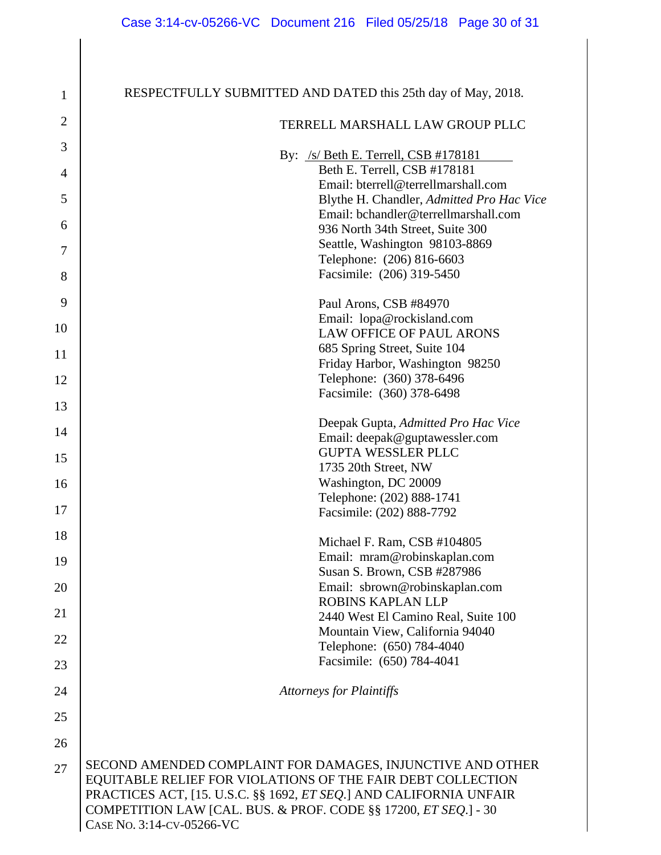| $\mathbf{1}$   | RESPECTFULLY SUBMITTED AND DATED this 25th day of May, 2018.       |
|----------------|--------------------------------------------------------------------|
| $\overline{2}$ | TERRELL MARSHALL LAW GROUP PLLC                                    |
| 3              | By: $/s/$ Beth E. Terrell, CSB #178181                             |
| $\overline{4}$ | Beth E. Terrell, CSB #178181                                       |
|                | Email: bterrell@terrellmarshall.com                                |
| 5              | Blythe H. Chandler, Admitted Pro Hac Vice                          |
|                | Email: bchandler@terrellmarshall.com                               |
| 6              | 936 North 34th Street, Suite 300                                   |
| 7              | Seattle, Washington 98103-8869                                     |
|                | Telephone: (206) 816-6603                                          |
| 8              | Facsimile: (206) 319-5450                                          |
| 9              | Paul Arons, CSB #84970                                             |
| 10             | Email: lopa@rockisland.com<br><b>LAW OFFICE OF PAUL ARONS</b>      |
|                | 685 Spring Street, Suite 104                                       |
| 11             | Friday Harbor, Washington 98250                                    |
| 12             | Telephone: (360) 378-6496                                          |
|                | Facsimile: (360) 378-6498                                          |
| 13             |                                                                    |
| 14             | Deepak Gupta, Admitted Pro Hac Vice                                |
|                | Email: deepak@guptawessler.com                                     |
| 15             | <b>GUPTA WESSLER PLLC</b>                                          |
|                | 1735 20th Street, NW                                               |
| 16             | Washington, DC 20009<br>Telephone: (202) 888-1741                  |
| 17             | Facsimile: (202) 888-7792                                          |
| 18             |                                                                    |
|                | Michael F. Ram, CSB #104805                                        |
| 19             | Email: mram@robinskaplan.com                                       |
|                | Susan S. Brown, CSB #287986                                        |
| 20             | Email: sbrown@robinskaplan.com                                     |
| 21             | ROBINS KAPLAN LLP<br>2440 West El Camino Real, Suite 100           |
|                | Mountain View, California 94040                                    |
| 22             | Telephone: (650) 784-4040                                          |
| 23             | Facsimile: (650) 784-4041                                          |
| 24             | <b>Attorneys for Plaintiffs</b>                                    |
| 25             |                                                                    |
|                |                                                                    |
| 26             |                                                                    |
| 27             | SECOND AMENDED COMPLAINT FOR DAMAGES, INJUNCTIVE AND OTHER         |
|                | EQUITABLE RELIEF FOR VIOLATIONS OF THE FAIR DEBT COLLECTION        |
|                | PRACTICES ACT, [15. U.S.C. §§ 1692, ET SEQ.] AND CALIFORNIA UNFAIR |
|                | COMPETITION LAW [CAL. BUS. & PROF. CODE §§ 17200, ET SEQ.] - 30    |
|                | CASE No. 3:14-CV-05266-VC                                          |